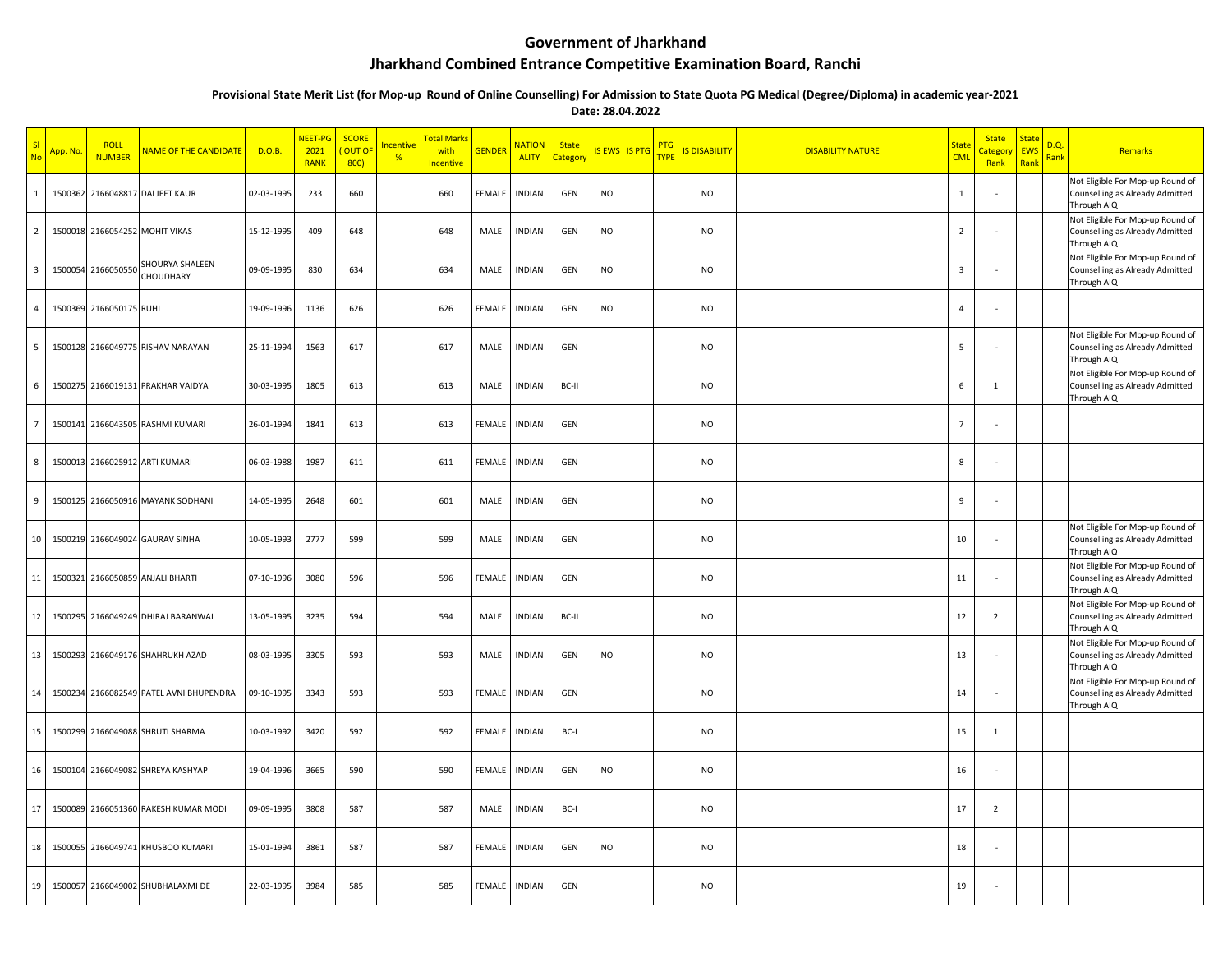## **Government of Jharkhand**

## **Jharkhand Combined Entrance Competitive Examination Board, Ranchi**

**Provisional State Merit List (for Mop-up Round of Online Counselling) For Admission to State Quota PG Medical (Degree/Diploma) in academic year-2021**

**Date: 28.04.2022**

| $\overline{\mathsf{S}}$<br><b>No</b> | App. No | <b>ROLL</b><br><b>NUMBER</b> | <mark>NAME OF THE CANDIDATI</mark>      | D.O.B.     | NEET-PG<br>2021<br><b>RANK</b> | <b>SCORE</b><br>OUT OF<br>800 | ncentive<br>% | <mark>Total Mark</mark><br>with<br><b>Incentive</b> | <b>GENDER</b> | <b>NATION</b><br><b>ALITY</b> | <b>State</b><br><b>Categor</b> | IS EWS IS PTG | PTG<br><b>TYPE</b> | <b>IS DISABILITY</b> | <b>DISABILITY NATURE</b> | <b>State</b><br><b>CML</b> | <b>State</b><br>Categor<br>Rank | <b>State</b><br>EWS<br>Rank | D.Q<br>Rank | <b>Remarks</b>                                                                     |
|--------------------------------------|---------|------------------------------|-----------------------------------------|------------|--------------------------------|-------------------------------|---------------|-----------------------------------------------------|---------------|-------------------------------|--------------------------------|---------------|--------------------|----------------------|--------------------------|----------------------------|---------------------------------|-----------------------------|-------------|------------------------------------------------------------------------------------|
| 1                                    | 1500362 |                              | 2166048817 DALJEET KAUR                 | 02-03-1995 | 233                            | 660                           |               | 660                                                 | FEMALE        | <b>INDIAN</b>                 | GEN                            | <b>NO</b>     |                    | <b>NO</b>            |                          | 1                          |                                 |                             |             | Not Eligible For Mop-up Round of<br>Counselling as Already Admitted<br>Through AIQ |
| $\overline{2}$                       |         |                              | 1500018 2166054252 MOHIT VIKAS          | 15-12-1995 | 409                            | 648                           |               | 648                                                 | MALE          | <b>INDIAN</b>                 | GEN                            | <b>NO</b>     |                    | <b>NO</b>            |                          | $\overline{2}$             |                                 |                             |             | Not Eligible For Mop-up Round of<br>Counselling as Already Admitted<br>Through AIQ |
| $\overline{\mathbf{3}}$              |         | 1500054 2166050550           | SHOURYA SHALEEN<br>CHOUDHARY            | 09-09-1995 | 830                            | 634                           |               | 634                                                 | MALE          | <b>INDIAN</b>                 | GEN                            | <b>NO</b>     |                    | <b>NO</b>            |                          | $\overline{3}$             |                                 |                             |             | Not Eligible For Mop-up Round of<br>Counselling as Already Admitted<br>Through AIQ |
| $\overline{4}$                       |         | 1500369 2166050175 RUHI      |                                         | 19-09-1996 | 1136                           | 626                           |               | 626                                                 | FEMALE        | <b>INDIAN</b>                 | GEN                            | <b>NO</b>     |                    | <b>NO</b>            |                          | $\overline{4}$             |                                 |                             |             |                                                                                    |
| 5                                    |         |                              | 1500128 2166049775 RISHAV NARAYAN       | 25-11-1994 | 1563                           | 617                           |               | 617                                                 | MALE          | <b>INDIAN</b>                 | GEN                            |               |                    | <b>NO</b>            |                          | 5                          |                                 |                             |             | Not Eligible For Mop-up Round of<br>Counselling as Already Admitted<br>Through AIQ |
| 6                                    |         |                              | 1500275 2166019131 PRAKHAR VAIDYA       | 30-03-1995 | 1805                           | 613                           |               | 613                                                 | MALE          | <b>INDIAN</b>                 | BC-II                          |               |                    | <b>NO</b>            |                          | 6                          | 1                               |                             |             | Not Eligible For Mop-up Round of<br>Counselling as Already Admitted<br>Through AIQ |
| $\overline{7}$                       |         |                              | 1500141 2166043505 RASHMI KUMARI        | 26-01-1994 | 1841                           | 613                           |               | 613                                                 | FEMALE        | <b>INDIAN</b>                 | GEN                            |               |                    | <b>NO</b>            |                          | $\overline{7}$             |                                 |                             |             |                                                                                    |
| 8                                    | 1500013 |                              | 2166025912 ARTI KUMARI                  | 06-03-1988 | 1987                           | 611                           |               | 611                                                 | FEMALE        | <b>INDIAN</b>                 | GEN                            |               |                    | <b>NO</b>            |                          | 8                          |                                 |                             |             |                                                                                    |
| 9                                    |         |                              | 1500125 2166050916 MAYANK SODHANI       | 14-05-1995 | 2648                           | 601                           |               | 601                                                 | MALE          | <b>INDIAN</b>                 | GEN                            |               |                    | <b>NO</b>            |                          | 9                          |                                 |                             |             |                                                                                    |
| 10 <sup>1</sup>                      |         |                              | 1500219 2166049024 GAURAV SINHA         | 10-05-1993 | 2777                           | 599                           |               | 599                                                 | MALE          | <b>INDIAN</b>                 | GEN                            |               |                    | NO                   |                          | 10                         |                                 |                             |             | Not Eligible For Mop-up Round of<br>Counselling as Already Admitted<br>Through AIQ |
| 11                                   | 1500321 |                              | 2166050859 ANJALI BHARTI                | 07-10-1996 | 3080                           | 596                           |               | 596                                                 | FEMALE        | <b>INDIAN</b>                 | GEN                            |               |                    | <b>NO</b>            |                          | 11                         |                                 |                             |             | Not Eligible For Mop-up Round of<br>Counselling as Already Admitted<br>Through AIQ |
| 12                                   |         |                              | 1500295 2166049249 DHIRAJ BARANWAL      | 13-05-1995 | 3235                           | 594                           |               | 594                                                 | MALE          | <b>INDIAN</b>                 | BC-II                          |               |                    | <b>NO</b>            |                          | 12                         | $\overline{2}$                  |                             |             | Not Eligible For Mop-up Round of<br>Counselling as Already Admitted<br>Through AIQ |
| 13                                   |         |                              | 1500293 2166049176 SHAHRUKH AZAD        | 08-03-1995 | 3305                           | 593                           |               | 593                                                 | MALE          | <b>INDIAN</b>                 | GEN                            | <b>NO</b>     |                    | <b>NO</b>            |                          | 13                         |                                 |                             |             | Not Eligible For Mop-up Round of<br>Counselling as Already Admitted<br>Through AIQ |
| 14                                   |         |                              | 1500234 2166082549 PATEL AVNI BHUPENDRA | 09-10-1995 | 3343                           | 593                           |               | 593                                                 | FEMALE        | <b>INDIAN</b>                 | GEN                            |               |                    | <b>NO</b>            |                          | 14                         |                                 |                             |             | Not Eligible For Mop-up Round of<br>Counselling as Already Admitted<br>Through AIQ |
| 15                                   |         |                              | 1500299 2166049088 SHRUTI SHARMA        | 10-03-1992 | 3420                           | 592                           |               | 592                                                 | FEMALE        | <b>INDIAN</b>                 | BC-I                           |               |                    | <b>NO</b>            |                          | 15                         | $\mathbf{1}$                    |                             |             |                                                                                    |
| 16 <sup>1</sup>                      |         |                              | 1500104 2166049082 SHREYA KASHYAP       | 19-04-1996 | 3665                           | 590                           |               | 590                                                 | FEMALE        | <b>INDIAN</b>                 | GEN                            | <b>NO</b>     |                    | NO                   |                          | 16                         |                                 |                             |             |                                                                                    |
| 17                                   |         |                              | 1500089 2166051360 RAKESH KUMAR MODI    | 09-09-1995 | 3808                           | 587                           |               | 587                                                 | MALE          | <b>INDIAN</b>                 | BC-I                           |               |                    | <b>NO</b>            |                          | 17                         | $\overline{2}$                  |                             |             |                                                                                    |
| 18                                   |         |                              | 1500055 2166049741 KHUSBOO KUMARI       | 15-01-1994 | 3861                           | 587                           |               | 587                                                 | FEMALE        | <b>INDIAN</b>                 | GEN                            | <b>NO</b>     |                    | <b>NO</b>            |                          | 18                         |                                 |                             |             |                                                                                    |
| 19 <sup>1</sup>                      |         |                              | 1500057 2166049002 SHUBHALAXMI DE       | 22-03-1995 | 3984                           | 585                           |               | 585                                                 | <b>FEMALE</b> | <b>INDIAN</b>                 | GEN                            |               |                    | <b>NO</b>            |                          | 19                         |                                 |                             |             |                                                                                    |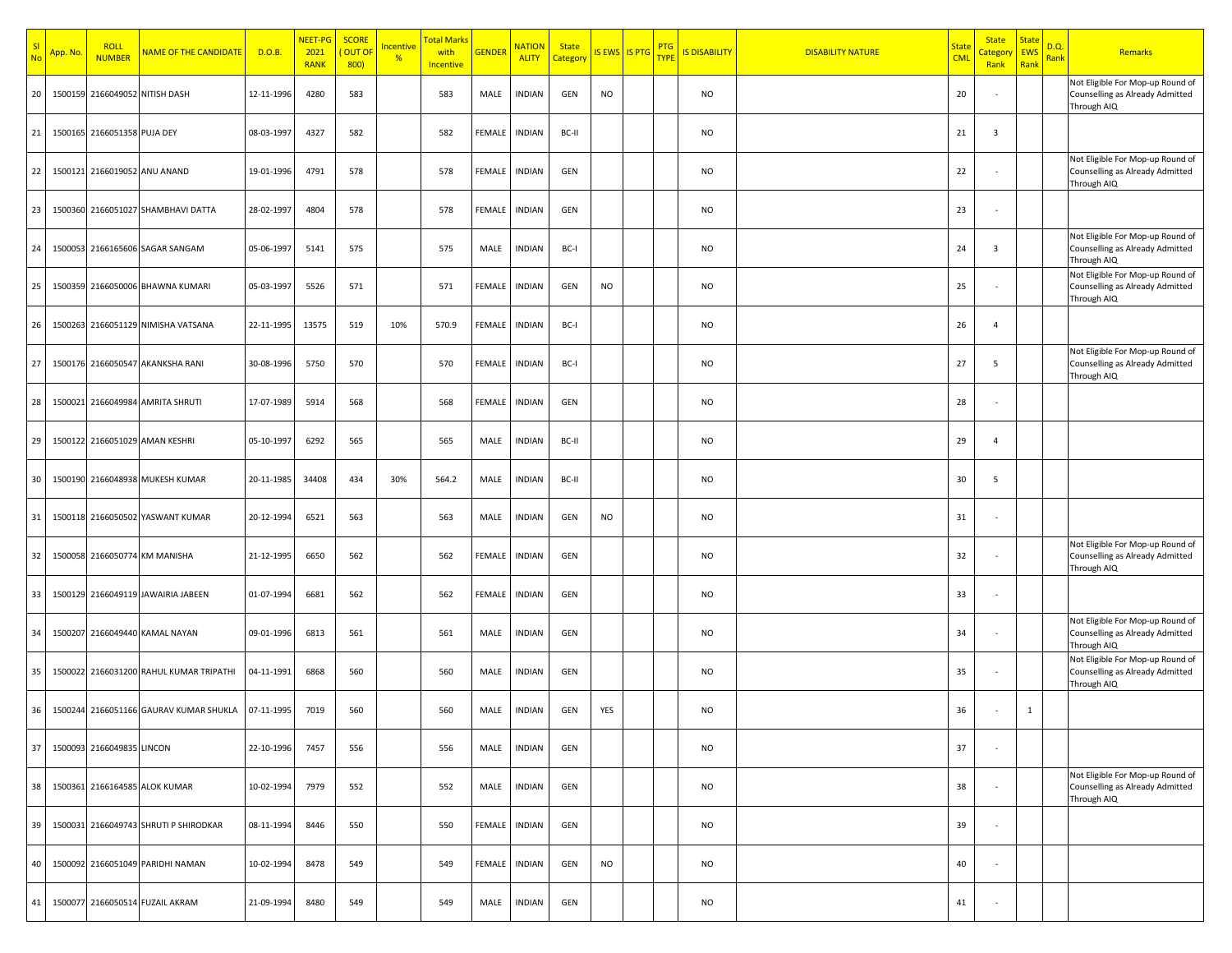| SI<br><b>No</b> | <mark>App. No</mark> | <b>ROLL</b><br><b>NUMBER</b> | NAME OF THE CANDIDATE                   | D.O.B.     | NEET-PG<br>2021<br><b>RANK</b> | <b>SCORE</b><br>OUT OF<br>800 | ncentive<br>$\frac{9}{6}$ | <mark>Total Marks</mark><br>with<br><b>Incentive</b> | <b>GENDER</b> | <b>NATION</b><br><b>ALITY</b> | <b>State</b><br><mark>Categon</mark> | IS EWS IS PTG TYPE | <b>PTG</b> | <b>IS DISABILITY</b> | <b>DISABILITY NATURE</b> | <b>State</b><br><b>CML</b> | <b>State</b><br><u>Category</u><br>Rank | <b>State</b><br><b>EWS</b><br>Rank | D.Q.<br>Rank | Remarks                                                                            |
|-----------------|----------------------|------------------------------|-----------------------------------------|------------|--------------------------------|-------------------------------|---------------------------|------------------------------------------------------|---------------|-------------------------------|--------------------------------------|--------------------|------------|----------------------|--------------------------|----------------------------|-----------------------------------------|------------------------------------|--------------|------------------------------------------------------------------------------------|
| 20              | 1500159              |                              | 2166049052 NITISH DASH                  | 12-11-1996 | 4280                           | 583                           |                           | 583                                                  | MALE          | <b>INDIAN</b>                 | GEN                                  | <b>NO</b>          |            | <b>NO</b>            |                          | 20                         |                                         |                                    |              | Not Eligible For Mop-up Round of<br>Counselling as Already Admitted<br>Through AIQ |
| 21              | 1500165              | 2166051358 PUJA DEY          |                                         | 08-03-1997 | 4327                           | 582                           |                           | 582                                                  | FEMALE        | <b>INDIAN</b>                 | BC-II                                |                    |            | <b>NO</b>            |                          | 21                         | 3                                       |                                    |              |                                                                                    |
| 22              |                      |                              | 1500121 2166019052 ANU ANAND            | 19-01-1996 | 4791                           | 578                           |                           | 578                                                  | FEMALE        | <b>INDIAN</b>                 | GEN                                  |                    |            | <b>NO</b>            |                          | 22                         |                                         |                                    |              | Not Eligible For Mop-up Round of<br>Counselling as Already Admitted<br>Through AIQ |
| 23              | 1500360              |                              | 2166051027 SHAMBHAVI DATTA              | 28-02-1997 | 4804                           | 578                           |                           | 578                                                  | FEMALE        | <b>INDIAN</b>                 | GEN                                  |                    |            | <b>NO</b>            |                          | 23                         |                                         |                                    |              |                                                                                    |
| 24              | 150005               |                              | 2166165606 SAGAR SANGAM                 | 05-06-1997 | 5141                           | 575                           |                           | 575                                                  | MALE          | <b>INDIAN</b>                 | BC-I                                 |                    |            | <b>NO</b>            |                          | 24                         | 3                                       |                                    |              | Not Eligible For Mop-up Round of<br>Counselling as Already Admitted<br>Through AIQ |
| 25              |                      |                              | 1500359 2166050006 BHAWNA KUMARI        | 05-03-1997 | 5526                           | 571                           |                           | 571                                                  | FEMALE        | <b>INDIAN</b>                 | GEN                                  | <b>NO</b>          |            | <b>NO</b>            |                          | 25                         |                                         |                                    |              | Not Eligible For Mop-up Round of<br>Counselling as Already Admitted<br>Through AIQ |
| 26              |                      |                              | 1500263 2166051129 NIMISHA VATSANA      | 22-11-1995 | 13575                          | 519                           | 10%                       | 570.9                                                | FEMALE        | <b>INDIAN</b>                 | BC-I                                 |                    |            | <b>NO</b>            |                          | 26                         | $\overline{4}$                          |                                    |              |                                                                                    |
| 27              |                      |                              | 1500176 2166050547 AKANKSHA RANI        | 30-08-1996 | 5750                           | 570                           |                           | 570                                                  | FEMALE        | <b>INDIAN</b>                 | BC-I                                 |                    |            | <b>NO</b>            |                          | 27                         | 5                                       |                                    |              | Not Eligible For Mop-up Round of<br>Counselling as Already Admitted<br>Through AIQ |
| 28              |                      |                              | 1500021 2166049984 AMRITA SHRUTI        | 17-07-1989 | 5914                           | 568                           |                           | 568                                                  | FEMALE        | <b>INDIAN</b>                 | GEN                                  |                    |            | <b>NO</b>            |                          | 28                         |                                         |                                    |              |                                                                                    |
| 29              | 1500122              |                              | 2166051029 AMAN KESHRI                  | 05-10-1997 | 6292                           | 565                           |                           | 565                                                  | MALE          | <b>INDIAN</b>                 | BC-II                                |                    |            | <b>NO</b>            |                          | 29                         | $\overline{4}$                          |                                    |              |                                                                                    |
| 30              |                      |                              | 1500190 2166048938 MUKESH KUMAR         | 20-11-1985 | 34408                          | 434                           | 30%                       | 564.2                                                | MALE          | <b>INDIAN</b>                 | BC-II                                |                    |            | <b>NO</b>            |                          | 30                         | 5                                       |                                    |              |                                                                                    |
| 31              |                      | 1500118 2166050502           | YASWANT KUMAR                           | 20-12-1994 | 6521                           | 563                           |                           | 563                                                  | MALE          | <b>INDIAN</b>                 | GEN                                  | <b>NO</b>          |            | <b>NO</b>            |                          | 31                         |                                         |                                    |              |                                                                                    |
| 32              | 150005               |                              | 2166050774 KM MANISHA                   | 21-12-1995 | 6650                           | 562                           |                           | 562                                                  | FEMALE        | <b>INDIAN</b>                 | GEN                                  |                    |            | <b>NO</b>            |                          | 32                         |                                         |                                    |              | Not Eligible For Mop-up Round of<br>Counselling as Already Admitted<br>Through AIQ |
| 33              | 1500129              |                              | 2166049119 JAWAIRIA JABEEN              | 01-07-1994 | 6681                           | 562                           |                           | 562                                                  | FEMALE        | <b>INDIAN</b>                 | GEN                                  |                    |            | <b>NO</b>            |                          | 33                         |                                         |                                    |              |                                                                                    |
| 34              | 1500207              |                              | 2166049440 KAMAL NAYAN                  | 09-01-1996 | 6813                           | 561                           |                           | 561                                                  | MALE          | <b>INDIAN</b>                 | GEN                                  |                    |            | <b>NO</b>            |                          | 34                         |                                         |                                    |              | Not Eligible For Mop-up Round of<br>Counselling as Already Admitted<br>Through AIQ |
| 35              |                      |                              | 1500022 2166031200 RAHUL KUMAR TRIPATHI | 04-11-1991 | 6868                           | 560                           |                           | 560                                                  | MALE          | <b>INDIAN</b>                 | GEN                                  |                    |            | NO                   |                          | 35                         |                                         |                                    |              | Not Eligible For Mop-up Round of<br>Counselling as Already Admitted<br>Through AIQ |
| 36              |                      |                              | 1500244 2166051166 GAURAV KUMAR SHUKLA  | 07-11-1995 | 7019                           | 560                           |                           | 560                                                  | MALE          | <b>INDIAN</b>                 | GEN                                  | YES                |            | <b>NO</b>            |                          | 36                         |                                         | 1                                  |              |                                                                                    |
| 37              |                      | 1500093 2166049835 LINCON    |                                         | 22-10-1996 | 7457                           | 556                           |                           | 556                                                  | MALE          | <b>INDIAN</b>                 | GEN                                  |                    |            | <b>NO</b>            |                          | 37                         |                                         |                                    |              |                                                                                    |
| 38              |                      |                              | 1500361 2166164585 ALOK KUMAR           | 10-02-1994 | 7979                           | 552                           |                           | 552                                                  | MALE          | <b>INDIAN</b>                 | GEN                                  |                    |            | <b>NO</b>            |                          | 38                         |                                         |                                    |              | Not Eligible For Mop-up Round of<br>Counselling as Already Admitted<br>Through AIQ |
| 39              |                      |                              | 1500031 2166049743 SHRUTI P SHIRODKAR   | 08-11-1994 | 8446                           | 550                           |                           | 550                                                  | FEMALE        | <b>INDIAN</b>                 | GEN                                  |                    |            | <b>NO</b>            |                          | 39                         | $\overline{\phantom{a}}$                |                                    |              |                                                                                    |
| 40              |                      |                              | 1500092 2166051049 PARIDHI NAMAN        | 10-02-1994 | 8478                           | 549                           |                           | 549                                                  | FEMALE        | <b>INDIAN</b>                 | GEN                                  | <b>NO</b>          |            | <b>NO</b>            |                          | 40                         |                                         |                                    |              |                                                                                    |
| 41              | 150007               |                              | 2166050514 FUZAIL AKRAM                 | 21-09-1994 | 8480                           | 549                           |                           | 549                                                  | MALE          | <b>INDIAN</b>                 | GEN                                  |                    |            | NO                   |                          | 41                         |                                         |                                    |              |                                                                                    |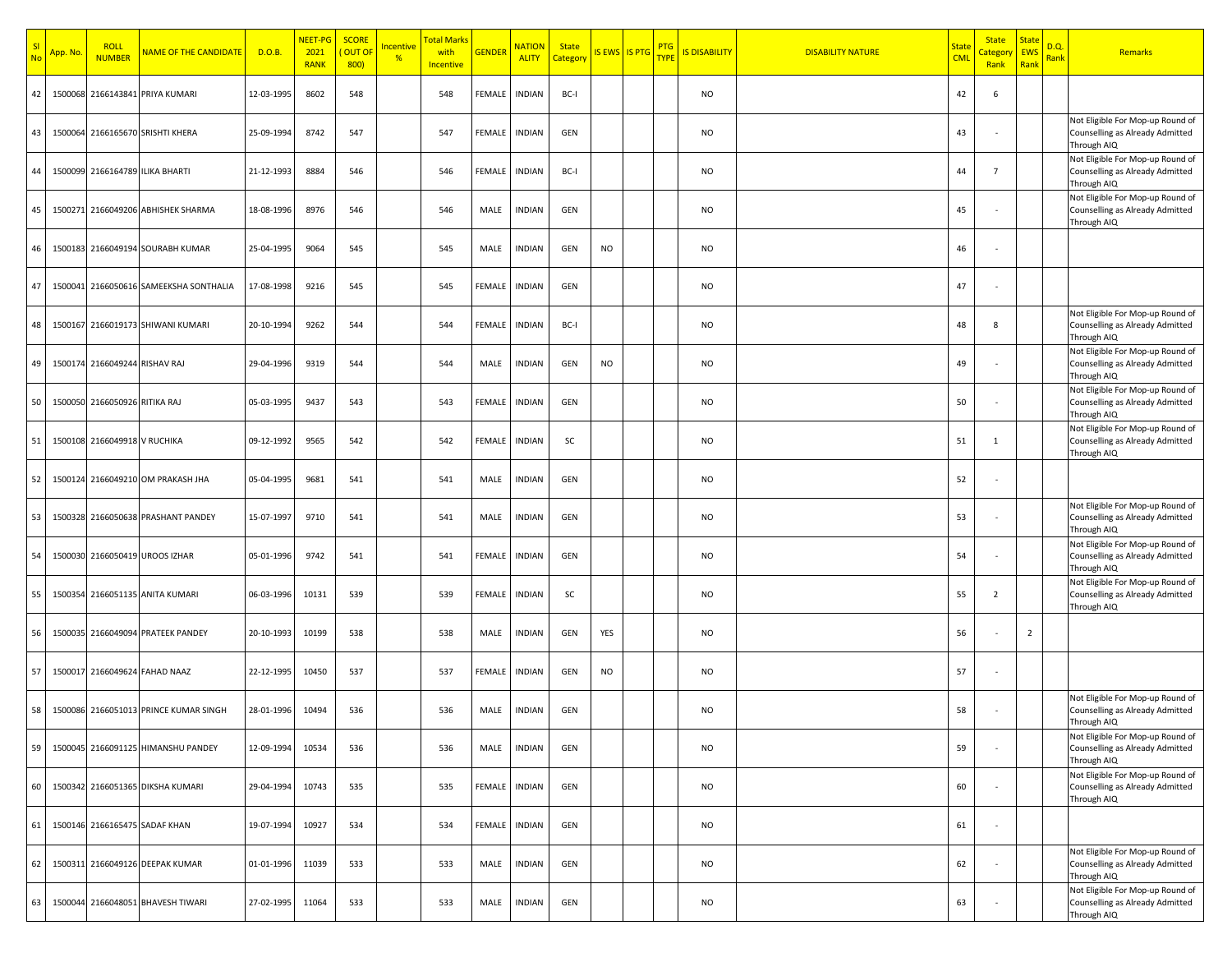| SI<br><b>No</b> | App. No | <b>ROLI</b><br><b>NUMBER</b>  | <b>NAME OF THE CANDIDATE</b>           | D.O.B.     | NEET-PG<br>2021<br><b>RANK</b> | <b>SCORE</b><br>OUT OF<br>800) | <mark>ncentive</mark><br>% | <mark>Total Mark</mark><br>with<br><b>Incentive</b> | <b>GENDEI</b> | <b>NATION</b><br><b>ALITY</b> | <b>State</b><br>Category |           | IS EWS IS PTG | PTG<br><b>TYPE</b> | <b>IS DISABILITY</b> | <b>DISABILITY NATURE</b> | <b>Stat</b><br><b>CMI</b> | <b>State</b><br>Category<br>Rank | <u>State</u><br><b>EWS</b><br>Rank | D.Q.<br><mark>Rank</mark> | Remarks                                                                            |
|-----------------|---------|-------------------------------|----------------------------------------|------------|--------------------------------|--------------------------------|----------------------------|-----------------------------------------------------|---------------|-------------------------------|--------------------------|-----------|---------------|--------------------|----------------------|--------------------------|---------------------------|----------------------------------|------------------------------------|---------------------------|------------------------------------------------------------------------------------|
| 42              |         |                               | 1500068 2166143841 PRIYA KUMARI        | 12-03-1995 | 8602                           | 548                            |                            | 548                                                 | FEMALE        | <b>INDIAN</b>                 | BC-I                     |           |               |                    | <b>NO</b>            |                          | 42                        | 6                                |                                    |                           |                                                                                    |
| 43              |         |                               | 1500064 2166165670 SRISHTI KHERA       | 25-09-1994 | 8742                           | 547                            |                            | 547                                                 | <b>FEMALE</b> | <b>INDIAN</b>                 | GEN                      |           |               |                    | <b>NO</b>            |                          | 43                        |                                  |                                    |                           | Not Eligible For Mop-up Round of<br>Counselling as Already Admitted<br>Through AIQ |
| 44              |         |                               | 1500099 2166164789 ILIKA BHARTI        | 21-12-1993 | 8884                           | 546                            |                            | 546                                                 | <b>FEMALE</b> | <b>INDIAN</b>                 | BC-I                     |           |               |                    | <b>NO</b>            |                          | 44                        | $\overline{7}$                   |                                    |                           | Not Eligible For Mop-up Round of<br>Counselling as Already Admitted<br>Through AIQ |
| 45              |         |                               | 1500271 2166049206 ABHISHEK SHARMA     | 18-08-1996 | 8976                           | 546                            |                            | 546                                                 | MALE          | <b>INDIAN</b>                 | GEN                      |           |               |                    | <b>NO</b>            |                          | 45                        |                                  |                                    |                           | Not Eligible For Mop-up Round of<br>Counselling as Already Admitted<br>Through AIQ |
| 46              |         |                               | 1500183 2166049194 SOURABH KUMAR       | 25-04-1995 | 9064                           | 545                            |                            | 545                                                 | MALE          | <b>INDIAN</b>                 | GEN                      | <b>NO</b> |               |                    | <b>NO</b>            |                          | 46                        |                                  |                                    |                           |                                                                                    |
| 47              |         |                               | 1500041 2166050616 SAMEEKSHA SONTHALIA | 17-08-1998 | 9216                           | 545                            |                            | 545                                                 | FEMALE        | <b>INDIAN</b>                 | GEN                      |           |               |                    | <b>NO</b>            |                          | 47                        |                                  |                                    |                           |                                                                                    |
| 48              |         |                               | 1500167 2166019173 SHIWANI KUMARI      | 20-10-1994 | 9262                           | 544                            |                            | 544                                                 | FEMALE        | <b>INDIAN</b>                 | BC-I                     |           |               |                    | <b>NO</b>            |                          | 48                        | 8                                |                                    |                           | Not Eligible For Mop-up Round of<br>Counselling as Already Admitted<br>Through AIQ |
| 49              |         | 1500174 2166049244 RISHAV RAJ |                                        | 29-04-1996 | 9319                           | 544                            |                            | 544                                                 | MALE          | <b>INDIAN</b>                 | GEN                      | <b>NO</b> |               |                    | <b>NO</b>            |                          | 49                        |                                  |                                    |                           | Not Eligible For Mop-up Round of<br>Counselling as Already Admitted<br>Through AIQ |
| 50              |         | 1500050 2166050926 RITIKA RAJ |                                        | 05-03-1995 | 9437                           | 543                            |                            | 543                                                 | <b>FEMALE</b> | <b>INDIAN</b>                 | GEN                      |           |               |                    | <b>NO</b>            |                          | 50                        |                                  |                                    |                           | Not Eligible For Mop-up Round of<br>Counselling as Already Admitted<br>Through AIQ |
| 51              |         | 1500108 2166049918 V RUCHIKA  |                                        | 09-12-1992 | 9565                           | 542                            |                            | 542                                                 | <b>FEMALE</b> | <b>INDIAN</b>                 | <b>SC</b>                |           |               |                    | <b>NO</b>            |                          | 51                        | $\mathbf{1}$                     |                                    |                           | Not Eligible For Mop-up Round of<br>Counselling as Already Admitted<br>Through AIQ |
| 52              |         |                               | 1500124 2166049210 OM PRAKASH JHA      | 05-04-1995 | 9681                           | 541                            |                            | 541                                                 | MALE          | <b>INDIAN</b>                 | GEN                      |           |               |                    | <b>NO</b>            |                          | 52                        |                                  |                                    |                           |                                                                                    |
| 53              | 150032  |                               | 2166050638 PRASHANT PANDEY             | 15-07-1997 | 9710                           | 541                            |                            | 541                                                 | MALE          | <b>INDIAN</b>                 | GEN                      |           |               |                    | <b>NO</b>            |                          | 53                        |                                  |                                    |                           | Not Eligible For Mop-up Round of<br>Counselling as Already Admitted<br>Through AIQ |
| 54              | 150003  |                               | 2166050419 UROOS IZHAR                 | 05-01-1996 | 9742                           | 541                            |                            | 541                                                 | FEMALE        | <b>INDIAN</b>                 | GEN                      |           |               |                    | <b>NO</b>            |                          | 54                        |                                  |                                    |                           | Not Eligible For Mop-up Round of<br>Counselling as Already Admitted<br>Through AIQ |
| 55              | 1500354 |                               | 2166051135 ANITA KUMARI                | 06-03-1996 | 10131                          | 539                            |                            | 539                                                 | FEMALE        | <b>INDIAN</b>                 | <b>SC</b>                |           |               |                    | <b>NO</b>            |                          | 55                        | $\overline{2}$                   |                                    |                           | Not Eligible For Mop-up Round of<br>Counselling as Already Admitted<br>Through AIQ |
| 56              |         |                               | 1500035 2166049094 PRATEEK PANDEY      | 20-10-1993 | 10199                          | 538                            |                            | 538                                                 | MALE          | <b>INDIAN</b>                 | GEN                      | YES       |               |                    | <b>NO</b>            |                          | 56                        |                                  | $\overline{2}$                     |                           |                                                                                    |
| 57              |         |                               | 1500017 2166049624 FAHAD NAAZ          | 22-12-1995 | 10450                          | 537                            |                            | 537                                                 | FEMALE        | <b>INDIAN</b>                 | GEN                      | <b>NO</b> |               |                    | <b>NO</b>            |                          | 57                        |                                  |                                    |                           |                                                                                    |
| 58              |         |                               | 1500086 2166051013 PRINCE KUMAR SINGH  | 28-01-1996 | 10494                          | 536                            |                            | 536                                                 | MALE          | <b>INDIAN</b>                 | GEN                      |           |               |                    | <b>NO</b>            |                          | 58                        |                                  |                                    |                           | Not Eligible For Mop-up Round of<br>Counselling as Already Admitted<br>Through AIQ |
| 59              |         |                               | 1500045 2166091125 HIMANSHU PANDEY     | 12-09-1994 | 10534                          | 536                            |                            | 536                                                 | MALE          | <b>INDIAN</b>                 | GEN                      |           |               |                    | <b>NO</b>            |                          | 59                        |                                  |                                    |                           | Not Eligible For Mop-up Round of<br>Counselling as Already Admitted<br>Through AIQ |
| 60              |         |                               | 1500342 2166051365 DIKSHA KUMARI       | 29-04-1994 | 10743                          | 535                            |                            | 535                                                 | <b>FEMALE</b> | <b>INDIAN</b>                 | GEN                      |           |               |                    | <b>NO</b>            |                          | 60                        |                                  |                                    |                           | Not Eligible For Mop-up Round of<br>Counselling as Already Admitted<br>Through AIQ |
| 61              |         |                               | 1500146 2166165475 SADAF KHAN          | 19-07-1994 | 10927                          | 534                            |                            | 534                                                 | FEMALE        | <b>INDIAN</b>                 | GEN                      |           |               |                    | <b>NO</b>            |                          | 61                        |                                  |                                    |                           |                                                                                    |
| 62              | 150031: |                               | 2166049126 DEEPAK KUMAR                | 01-01-1996 | 11039                          | 533                            |                            | 533                                                 | MALE          | <b>INDIAN</b>                 | GEN                      |           |               |                    | <b>NO</b>            |                          | 62                        |                                  |                                    |                           | Not Eligible For Mop-up Round of<br>Counselling as Already Admitted<br>Through AIQ |
| 63              |         |                               | 1500044 2166048051 BHAVESH TIWARI      | 27-02-1995 | 11064                          | 533                            |                            | 533                                                 | MALE          | <b>INDIAN</b>                 | GEN                      |           |               |                    | <b>NO</b>            |                          | 63                        |                                  |                                    |                           | Not Eligible For Mop-up Round of<br>Counselling as Already Admitted<br>Through AIQ |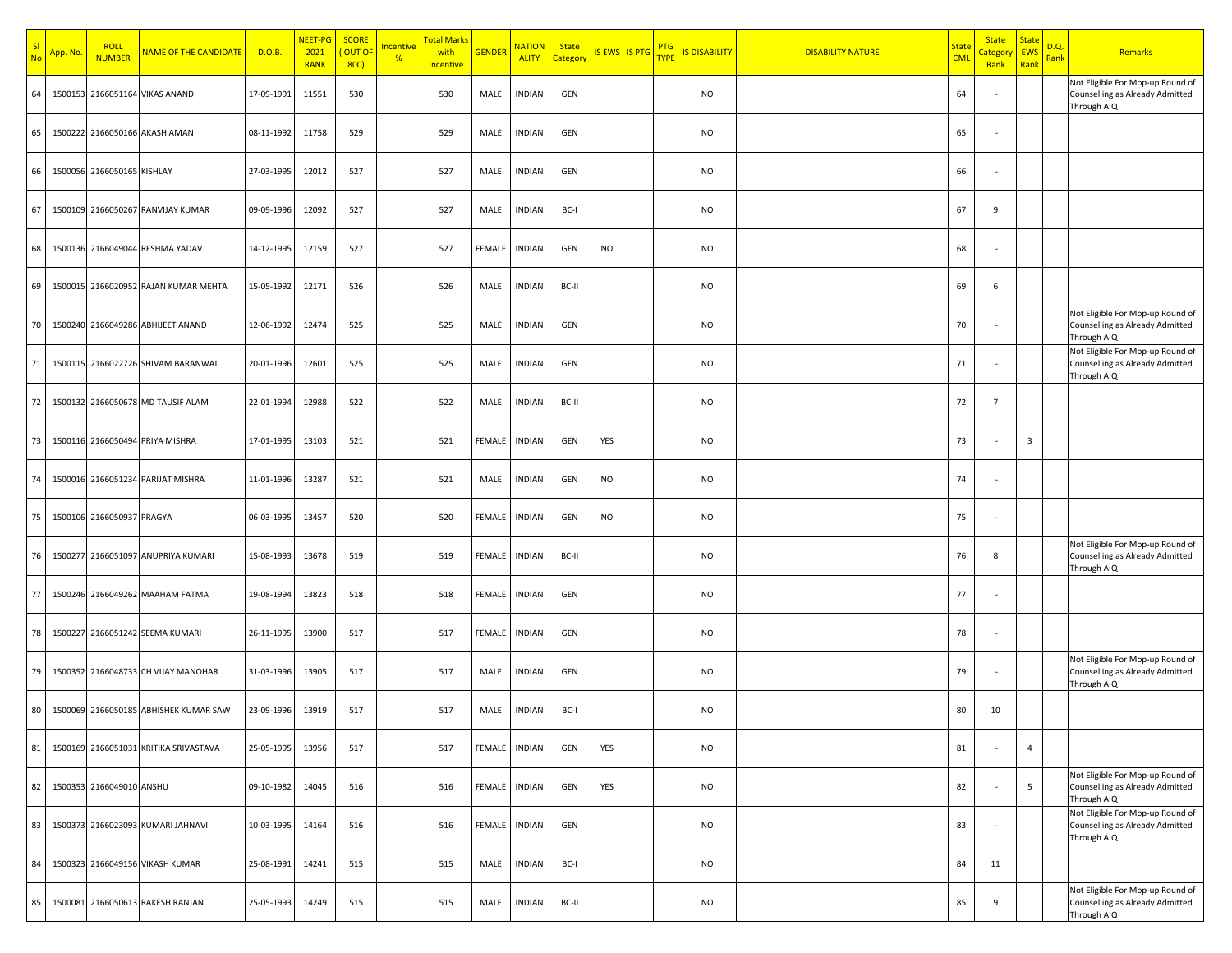| SI<br>No | App. No | <b>ROLL</b><br><b>NUMBER</b> | <b>NAME OF THE CANDIDATE</b>          | D.O.B.     | NEET-PG<br>2021<br><b>RANK</b> | <b>SCORE</b><br>OUT OF<br>800) | ncentive<br>$\frac{9}{6}$ | <mark>Total Mark</mark><br>with<br>Incentive | <b>GENDER</b> | <mark>NATION</mark><br><b>ALITY</b> | <b>State</b><br>Category |           | IS EWS IS PTG | <b>PTG</b><br><b>TYPE</b> | <b>IS DISABILITY</b> | <b>DISABILITY NATURE</b> | <u>State</u><br><b>CML</b> | <b>State</b><br><mark>Categor</mark><br>Rank | <b>State</b><br><b>EWS</b><br>Rank | D.Q.<br>Rank | <b>Remarks</b>                                                                     |
|----------|---------|------------------------------|---------------------------------------|------------|--------------------------------|--------------------------------|---------------------------|----------------------------------------------|---------------|-------------------------------------|--------------------------|-----------|---------------|---------------------------|----------------------|--------------------------|----------------------------|----------------------------------------------|------------------------------------|--------------|------------------------------------------------------------------------------------|
| 64       | 1500153 | 2166051164                   | <b>VIKAS ANAND</b>                    | 17-09-1991 | 11551                          | 530                            |                           | 530                                          | MALE          | <b>INDIAN</b>                       | GEN                      |           |               |                           | <b>NO</b>            |                          | 64                         |                                              |                                    |              | Not Eligible For Mop-up Round of<br>Counselling as Already Admitted<br>Through AIQ |
| 65       | 1500222 |                              | 2166050166 AKASH AMAN                 | 08-11-1992 | 11758                          | 529                            |                           | 529                                          | MALE          | <b>INDIAN</b>                       | GEN                      |           |               |                           | <b>NO</b>            |                          | 65                         |                                              |                                    |              |                                                                                    |
| 66       | 1500056 | 2166050165 KISHLAY           |                                       | 27-03-1995 | 12012                          | 527                            |                           | 527                                          | MALE          | <b>INDIAN</b>                       | GEN                      |           |               |                           | <b>NO</b>            |                          | 66                         |                                              |                                    |              |                                                                                    |
| 67       |         |                              | 1500109 2166050267 RANVIJAY KUMAR     | 09-09-1996 | 12092                          | 527                            |                           | 527                                          | MALE          | <b>INDIAN</b>                       | BC-I                     |           |               |                           | <b>NO</b>            |                          | 67                         | 9                                            |                                    |              |                                                                                    |
| 68       |         |                              | 1500136 2166049044 RESHMA YADAV       | 14-12-1995 | 12159                          | 527                            |                           | 527                                          | FEMALE        | <b>INDIAN</b>                       | GEN                      | <b>NO</b> |               |                           | <b>NO</b>            |                          | 68                         |                                              |                                    |              |                                                                                    |
| 69       |         |                              | 1500015 2166020952 RAJAN KUMAR MEHTA  | 15-05-1992 | 12171                          | 526                            |                           | 526                                          | MALE          | <b>INDIAN</b>                       | BC-II                    |           |               |                           | <b>NO</b>            |                          | 69                         | 6                                            |                                    |              |                                                                                    |
| 70       |         |                              | 1500240 2166049286 ABHIJEET ANAND     | 12-06-1992 | 12474                          | 525                            |                           | 525                                          | MALE          | <b>INDIAN</b>                       | GEN                      |           |               |                           | <b>NO</b>            |                          | 70                         |                                              |                                    |              | Not Eligible For Mop-up Round of<br>Counselling as Already Admitted<br>Through AIQ |
| 71       |         |                              | 1500115 2166022726 SHIVAM BARANWAL    | 20-01-1996 | 12601                          | 525                            |                           | 525                                          | MALE          | <b>INDIAN</b>                       | GEN                      |           |               |                           | <b>NO</b>            |                          | 71                         |                                              |                                    |              | Not Eligible For Mop-up Round of<br>Counselling as Already Admitted<br>Through AIQ |
| 72       |         |                              | 1500132 2166050678 MD TAUSIF ALAM     | 22-01-1994 | 12988                          | 522                            |                           | 522                                          | MALE          | INDIAN                              | BC-II                    |           |               |                           | NO                   |                          | 72                         | $\overline{7}$                               |                                    |              |                                                                                    |
| 73       |         |                              | 1500116 2166050494 PRIYA MISHRA       | 17-01-1995 | 13103                          | 521                            |                           | 521                                          | FEMALE        | <b>INDIAN</b>                       | GEN                      | YES       |               |                           | <b>NO</b>            |                          | 73                         |                                              | $\overline{\mathbf{3}}$            |              |                                                                                    |
| 74       | 150001  | 2166051234                   | PARIJAT MISHRA                        | 11-01-1996 | 13287                          | 521                            |                           | 521                                          | MALE          | <b>INDIAN</b>                       | GEN                      | <b>NO</b> |               |                           | <b>NO</b>            |                          | 74                         |                                              |                                    |              |                                                                                    |
| 75       |         | 1500106 2166050937 PRAGYA    |                                       | 06-03-1995 | 13457                          | 520                            |                           | 520                                          | FEMALE        | <b>INDIAN</b>                       | GEN                      | <b>NO</b> |               |                           | <b>NO</b>            |                          | 75                         |                                              |                                    |              |                                                                                    |
| 76       | 150027  |                              | 2166051097 ANUPRIYA KUMARI            | 15-08-1993 | 13678                          | 519                            |                           | 519                                          | FEMALE        | <b>INDIAN</b>                       | BC-II                    |           |               |                           | <b>NO</b>            |                          | 76                         | 8                                            |                                    |              | Not Eligible For Mop-up Round of<br>Counselling as Already Admitted<br>Through AIQ |
| 77       |         |                              | 1500246 2166049262 MAAHAM FATMA       | 19-08-1994 | 13823                          | 518                            |                           | 518                                          | FEMALE        | <b>INDIAN</b>                       | GEN                      |           |               |                           | <b>NO</b>            |                          | 77                         |                                              |                                    |              |                                                                                    |
| 78       | 1500227 |                              | 2166051242 SEEMA KUMARI               | 26-11-1995 | 13900                          | 517                            |                           | 517                                          | FEMALE        | <b>INDIAN</b>                       | GEN                      |           |               |                           | <b>NO</b>            |                          | 78                         |                                              |                                    |              |                                                                                    |
| 79       |         |                              | 1500352 2166048733 CH VIJAY MANOHAR   | 31-03-1996 | 13905                          | 517                            |                           | 517                                          | MALE          | <b>INDIAN</b>                       | GEN                      |           |               |                           | <b>NO</b>            |                          | 79                         |                                              |                                    |              | Not Eligible For Mop-up Round of<br>Counselling as Already Admitted<br>Through AIQ |
| 80       |         |                              | 1500069 2166050185 ABHISHEK KUMAR SAW | 23-09-1996 | 13919                          | 517                            |                           | 517                                          | MALE          | <b>INDIAN</b>                       | BC-I                     |           |               |                           | <b>NO</b>            |                          | 80                         | 10                                           |                                    |              |                                                                                    |
| 81       |         |                              | 1500169 2166051031 KRITIKA SRIVASTAVA | 25-05-1995 | 13956                          | 517                            |                           | 517                                          | FEMALE        | <b>INDIAN</b>                       | GEN                      | YES       |               |                           | <b>NO</b>            |                          | 81                         |                                              | $\overline{a}$                     |              |                                                                                    |
| 82       |         | 1500353 2166049010 ANSHU     |                                       | 09-10-1982 | 14045                          | 516                            |                           | 516                                          | FEMALE        | <b>INDIAN</b>                       | GEN                      | YES       |               |                           | <b>NO</b>            |                          | 82                         |                                              | 5 <sup>5</sup>                     |              | Not Eligible For Mop-up Round of<br>Counselling as Already Admitted<br>Through AIQ |
| 83       | 1500373 | 2166023093                   | KUMARI JAHNAVI                        | 10-03-1995 | 14164                          | 516                            |                           | 516                                          | FEMALE        | <b>INDIAN</b>                       | GEN                      |           |               |                           | <b>NO</b>            |                          | 83                         |                                              |                                    |              | Not Eligible For Mop-up Round of<br>Counselling as Already Admitted<br>Through AIQ |
| 84       | 1500323 |                              | 2166049156 VIKASH KUMAR               | 25-08-1991 | 14241                          | 515                            |                           | 515                                          | MALE          | <b>INDIAN</b>                       | BC-I                     |           |               |                           | <b>NO</b>            |                          | 84                         | 11                                           |                                    |              |                                                                                    |
| 85       | 150008  |                              | 2166050613 RAKESH RANJAN              | 25-05-1993 | 14249                          | 515                            |                           | 515                                          | MALE          | <b>INDIAN</b>                       | BC-II                    |           |               |                           | NO                   |                          | 85                         | 9                                            |                                    |              | Not Eligible For Mop-up Round of<br>Counselling as Already Admitted<br>Through AIQ |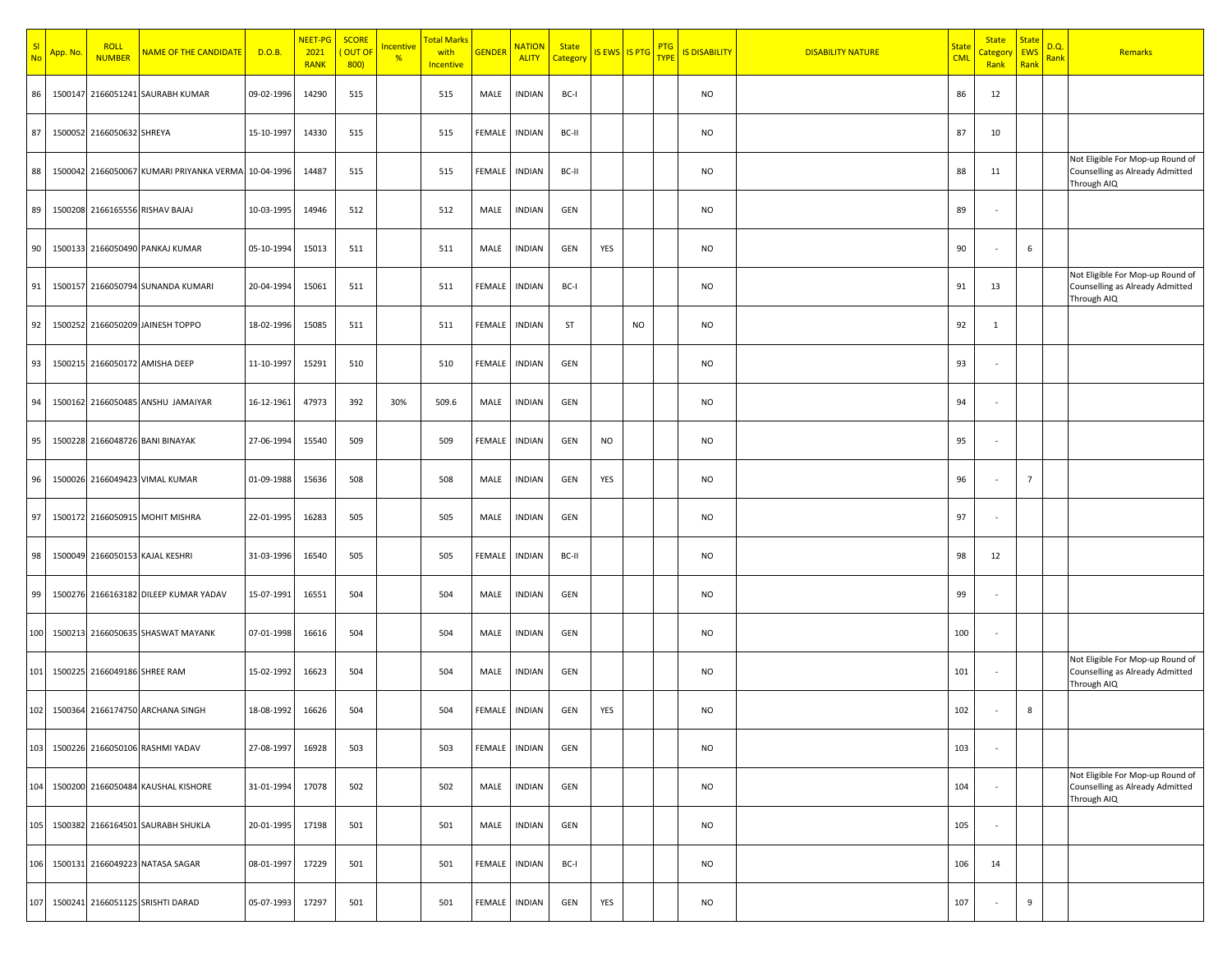| SI<br>No | App. No. | <b>ROLL</b><br><b>NUMBER</b> | <b>NAME OF THE CANDIDATE</b>                        | D.O.B.     | NEET-PG<br>2021<br><b>RANK</b> | <b>SCORE</b><br><mark>( OUT OF</mark><br>800 | Incentive<br>$\frac{9}{6}$ | <mark>Total Marks</mark><br>with<br>Incentive | <b>GENDER</b> | <b>NATION</b><br><b>ALITY</b> | <b>State</b><br><mark>Category</mark> | IS EWS IS PTG PTG |           | <b>IS DISABILITY</b> | <b>DISABILITY NATURE</b> | <b>State</b><br><b>CML</b> | <b>State</b><br><u>Categor</u><br>Rank | <b>State</b><br><b>EWS</b><br>Rank | <u>D.Q.</u><br><mark>Rank</mark> | Remarks                                                                            |
|----------|----------|------------------------------|-----------------------------------------------------|------------|--------------------------------|----------------------------------------------|----------------------------|-----------------------------------------------|---------------|-------------------------------|---------------------------------------|-------------------|-----------|----------------------|--------------------------|----------------------------|----------------------------------------|------------------------------------|----------------------------------|------------------------------------------------------------------------------------|
| 86       |          |                              | 1500147 2166051241 SAURABH KUMAR                    | 09-02-1996 | 14290                          | 515                                          |                            | 515                                           | MALE          | <b>INDIAN</b>                 | BC-I                                  |                   |           | <b>NO</b>            |                          | 86                         | 12                                     |                                    |                                  |                                                                                    |
| 87       |          | 1500052 2166050632 SHREYA    |                                                     | 15-10-1997 | 14330                          | 515                                          |                            | 515                                           | FEMALE        | <b>INDIAN</b>                 | BC-II                                 |                   |           | <b>NO</b>            |                          | 87                         | 10                                     |                                    |                                  |                                                                                    |
| 88       |          |                              | 1500042 2166050067 KUMARI PRIYANKA VERMA 10-04-1996 |            | 14487                          | 515                                          |                            | 515                                           | FEMALE        | <b>INDIAN</b>                 | BC-II                                 |                   |           | <b>NO</b>            |                          | 88                         | 11                                     |                                    |                                  | Not Eligible For Mop-up Round of<br>Counselling as Already Admitted<br>Through AIQ |
| 89       |          |                              | 1500208 2166165556 RISHAV BAJAJ                     | 10-03-1995 | 14946                          | 512                                          |                            | 512                                           | MALE          | INDIAN                        | GEN                                   |                   |           | <b>NO</b>            |                          | 89                         |                                        |                                    |                                  |                                                                                    |
| 90       |          |                              | 1500133 2166050490 PANKAJ KUMAR                     | 05-10-1994 | 15013                          | 511                                          |                            | 511                                           | MALE          | <b>INDIAN</b>                 | GEN                                   | YES               |           | <b>NO</b>            |                          | 90                         |                                        | 6                                  |                                  |                                                                                    |
| 91       |          |                              | 1500157 2166050794 SUNANDA KUMARI                   | 20-04-1994 | 15061                          | 511                                          |                            | 511                                           | FEMALE        | <b>INDIAN</b>                 | BC-I                                  |                   |           | <b>NO</b>            |                          | 91                         | 13                                     |                                    |                                  | Not Eligible For Mop-up Round of<br>Counselling as Already Admitted<br>Through AIQ |
| 92       |          |                              | 1500252 2166050209 JAINESH TOPPO                    | 18-02-1996 | 15085                          | 511                                          |                            | 511                                           | FEMALE        | <b>INDIAN</b>                 | ST                                    |                   | <b>NO</b> | <b>NO</b>            |                          | 92                         | 1                                      |                                    |                                  |                                                                                    |
| 93       |          |                              | 1500215 2166050172 AMISHA DEEP                      | 11-10-1997 | 15291                          | 510                                          |                            | 510                                           | FEMALE        | <b>INDIAN</b>                 | GEN                                   |                   |           | <b>NO</b>            |                          | 93                         |                                        |                                    |                                  |                                                                                    |
| 94       |          |                              | 1500162 2166050485 ANSHU JAMAIYAR                   | 16-12-1961 | 47973                          | 392                                          | 30%                        | 509.6                                         | MALE          | <b>INDIAN</b>                 | GEN                                   |                   |           | <b>NO</b>            |                          | 94                         |                                        |                                    |                                  |                                                                                    |
| 95       |          |                              | 1500228 2166048726 BANI BINAYAK                     | 27-06-1994 | 15540                          | 509                                          |                            | 509                                           | <b>FEMALE</b> | <b>INDIAN</b>                 | GEN                                   | <b>NO</b>         |           | <b>NO</b>            |                          | 95                         |                                        |                                    |                                  |                                                                                    |
| 96       |          |                              | 1500026 2166049423 VIMAL KUMAR                      | 01-09-1988 | 15636                          | 508                                          |                            | 508                                           | MALE          | <b>INDIAN</b>                 | GEN                                   | YES               |           | <b>NO</b>            |                          | 96                         |                                        | $\overline{7}$                     |                                  |                                                                                    |
| 97       |          |                              | 1500172 2166050915 MOHIT MISHRA                     | 22-01-1995 | 16283                          | 505                                          |                            | 505                                           | MALE          | <b>INDIAN</b>                 | GEN                                   |                   |           | <b>NO</b>            |                          | 97                         |                                        |                                    |                                  |                                                                                    |
| 98       |          |                              | 1500049 2166050153 KAJAL KESHRI                     | 31-03-1996 | 16540                          | 505                                          |                            | 505                                           | FEMALE        | <b>INDIAN</b>                 | BC-II                                 |                   |           | <b>NO</b>            |                          | 98                         | 12                                     |                                    |                                  |                                                                                    |
| 99       |          |                              | 1500276 2166163182 DILEEP KUMAR YADAV               | 15-07-1991 | 16551                          | 504                                          |                            | 504                                           | MALE          | <b>INDIAN</b>                 | GEN                                   |                   |           | <b>NO</b>            |                          | 99                         |                                        |                                    |                                  |                                                                                    |
| 100      |          |                              | 1500213 2166050635 SHASWAT MAYANK                   | 07-01-1998 | 16616                          | 504                                          |                            | 504                                           | MALE          | <b>INDIAN</b>                 | GEN                                   |                   |           | <b>NO</b>            |                          | 100                        |                                        |                                    |                                  |                                                                                    |
| 101      |          | 1500225 2166049186 SHREE RAM |                                                     | 15-02-1992 | 16623                          | 504                                          |                            | 504                                           | MALE          | <b>INDIAN</b>                 | GEN                                   |                   |           | NO                   |                          | 101                        |                                        |                                    |                                  | Not Eligible For Mop-up Round of<br>Counselling as Already Admitted<br>Through AIQ |
| 102      |          |                              | 1500364 2166174750 ARCHANA SINGH                    | 18-08-1992 | 16626                          | 504                                          |                            | 504                                           | FEMALE        | <b>INDIAN</b>                 | GEN                                   | YES               |           | <b>NO</b>            |                          | 102                        |                                        | 8                                  |                                  |                                                                                    |
| 103      |          |                              | 1500226 2166050106 RASHMI YADAV                     | 27-08-1997 | 16928                          | 503                                          |                            | 503                                           | FEMALE        | <b>INDIAN</b>                 | GEN                                   |                   |           | <b>NO</b>            |                          | 103                        |                                        |                                    |                                  |                                                                                    |
| 104      |          |                              | 1500200 2166050484 KAUSHAL KISHORE                  | 31-01-1994 | 17078                          | 502                                          |                            | 502                                           | MALE          | <b>INDIAN</b>                 | GEN                                   |                   |           | <b>NO</b>            |                          | 104                        |                                        |                                    |                                  | Not Eligible For Mop-up Round of<br>Counselling as Already Admitted<br>Through AIQ |
| 105      |          |                              | 1500382 2166164501 SAURABH SHUKLA                   | 20-01-1995 | 17198                          | 501                                          |                            | 501                                           | MALE          | <b>INDIAN</b>                 | GEN                                   |                   |           | <b>NO</b>            |                          | 105                        |                                        |                                    |                                  |                                                                                    |
| 106      |          |                              | 1500131 2166049223 NATASA SAGAR                     | 08-01-1997 | 17229                          | 501                                          |                            | 501                                           | FEMALE        | INDIAN                        | BC-I                                  |                   |           | <b>NO</b>            |                          | 106                        | 14                                     |                                    |                                  |                                                                                    |
| 107      |          |                              | 1500241 2166051125 SRISHTI DARAD                    | 05-07-1993 | 17297                          | 501                                          |                            | 501                                           | FEMALE        | INDIAN                        | GEN                                   | YES               |           | NO                   |                          | 107                        |                                        | $9\,$                              |                                  |                                                                                    |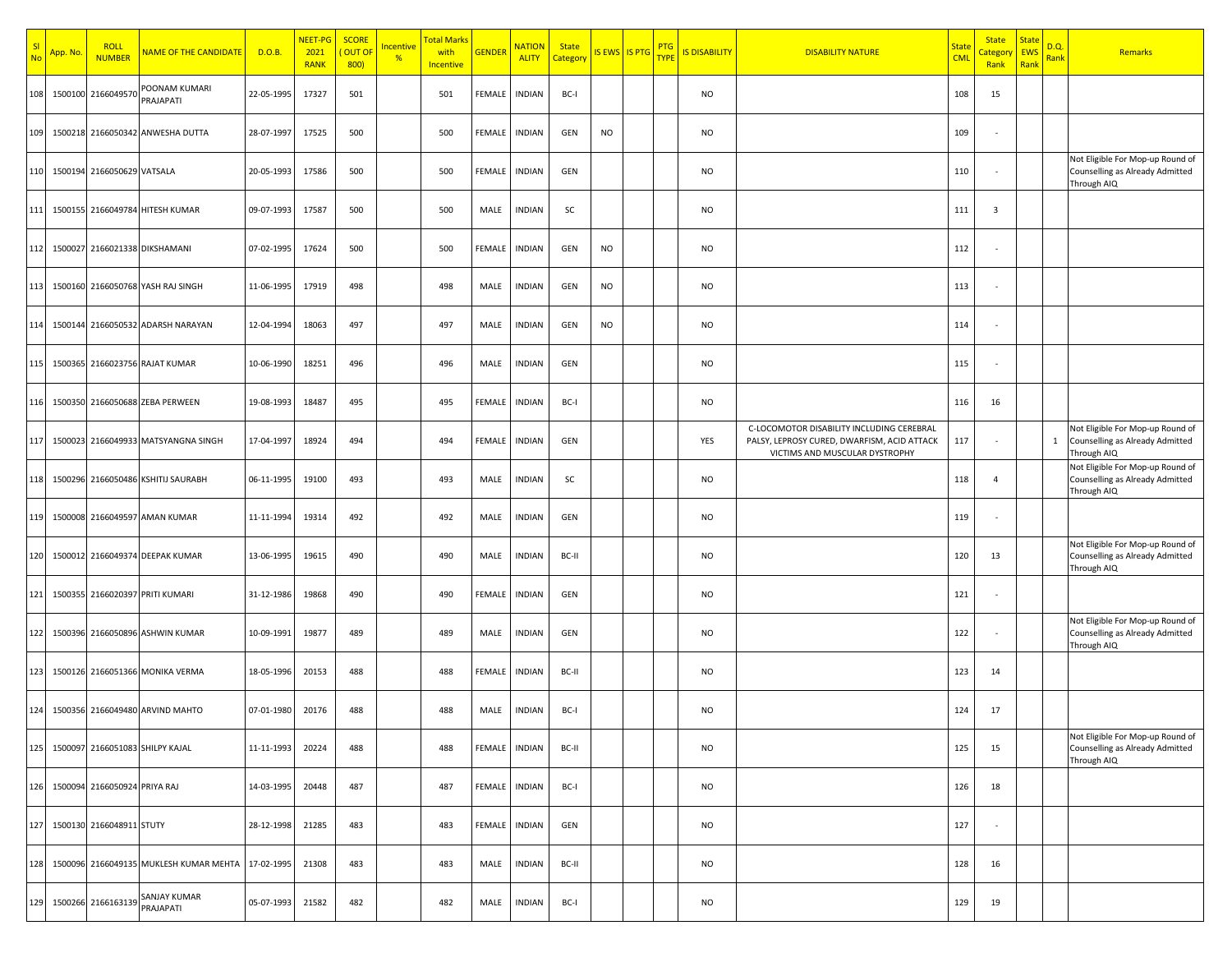| SI<br><b>No</b> | App. No | <b>ROLL</b><br><b>NUMBER</b>     | NAME OF THE CANDIDATE                  | D.O.B.     | NEET-PG<br>2021<br><b>RANK</b> | <b>SCORE</b><br>OUT OF<br>800 | <b>Incentive</b><br>$\frac{9}{6}$ | <mark>Total Marks</mark><br>with<br><b>Incentive</b> | <b>GENDER</b> | <b>NATION</b><br><b>ALITY</b> | <b>State</b><br>Categon | IS EWS IS PTG | <b>PTG</b><br><b>TYPE</b> | <b>IS DISABILITY</b> | <b>DISABILITY NATURE</b>                                                                                                   | <b>State</b><br><b>CML</b> | <b>State</b><br><mark>Categor</mark><br>Rank | <b>State</b><br><b>EWS</b><br>Rank | D.Q.<br><b>Rank</b> | Remarks                                                                            |
|-----------------|---------|----------------------------------|----------------------------------------|------------|--------------------------------|-------------------------------|-----------------------------------|------------------------------------------------------|---------------|-------------------------------|-------------------------|---------------|---------------------------|----------------------|----------------------------------------------------------------------------------------------------------------------------|----------------------------|----------------------------------------------|------------------------------------|---------------------|------------------------------------------------------------------------------------|
| 108             |         | 1500100 2166049570               | POONAM KUMARI<br>PRAJAPATI             | 22-05-1995 | 17327                          | 501                           |                                   | 501                                                  | FEMALE        | <b>INDIAN</b>                 | BC-I                    |               |                           | <b>NO</b>            |                                                                                                                            | 108                        | 15                                           |                                    |                     |                                                                                    |
| 109             |         |                                  | 1500218 2166050342 ANWESHA DUTTA       | 28-07-1997 | 17525                          | 500                           |                                   | 500                                                  | FEMALE        | <b>INDIAN</b>                 | GEN                     | <b>NO</b>     |                           | <b>NO</b>            |                                                                                                                            | 109                        |                                              |                                    |                     |                                                                                    |
| 110             |         | 1500194 2166050629 VATSALA       |                                        | 20-05-1993 | 17586                          | 500                           |                                   | 500                                                  | FEMALE        | <b>INDIAN</b>                 | GEN                     |               |                           | <b>NO</b>            |                                                                                                                            | 110                        |                                              |                                    |                     | Not Eligible For Mop-up Round of<br>Counselling as Already Admitted<br>Through AIQ |
| 111             |         |                                  | 1500155 2166049784 HITESH KUMAR        | 09-07-1993 | 17587                          | 500                           |                                   | 500                                                  | MALE          | <b>INDIAN</b>                 | SC                      |               |                           | <b>NO</b>            |                                                                                                                            | 111                        | 3                                            |                                    |                     |                                                                                    |
|                 |         |                                  | 112 1500027 2166021338 DIKSHAMANI      | 07-02-1995 | 17624                          | 500                           |                                   | 500                                                  | FEMALE        | <b>INDIAN</b>                 | GEN                     | <b>NO</b>     |                           | <b>NO</b>            |                                                                                                                            | 112                        |                                              |                                    |                     |                                                                                    |
|                 |         |                                  | 113 1500160 2166050768 YASH RAJ SINGH  | 11-06-1995 | 17919                          | 498                           |                                   | 498                                                  | MALE          | <b>INDIAN</b>                 | GEN                     | <b>NO</b>     |                           | <b>NO</b>            |                                                                                                                            | 113                        |                                              |                                    |                     |                                                                                    |
|                 |         |                                  | 114 1500144 2166050532 ADARSH NARAYAN  | 12-04-1994 | 18063                          | 497                           |                                   | 497                                                  | MALE          | <b>INDIAN</b>                 | GEN                     | <b>NO</b>     |                           | <b>NO</b>            |                                                                                                                            | 114                        |                                              |                                    |                     |                                                                                    |
| 115             |         |                                  | 1500365 2166023756 RAJAT KUMAR         | 10-06-1990 | 18251                          | 496                           |                                   | 496                                                  | MALE          | <b>INDIAN</b>                 | GEN                     |               |                           | <b>NO</b>            |                                                                                                                            | 115                        |                                              |                                    |                     |                                                                                    |
| 116             |         |                                  | 1500350 2166050688 ZEBA PERWEEN        | 19-08-1993 | 18487                          | 495                           |                                   | 495                                                  | FEMALE        | <b>INDIAN</b>                 | BC-I                    |               |                           | <b>NO</b>            |                                                                                                                            | 116                        | 16                                           |                                    |                     |                                                                                    |
| 117             |         |                                  | 1500023 2166049933 MATSYANGNA SINGH    | 17-04-1997 | 18924                          | 494                           |                                   | 494                                                  | FEMALE        | <b>INDIAN</b>                 | GEN                     |               |                           | YES                  | C-LOCOMOTOR DISABILITY INCLUDING CEREBRAL<br>PALSY, LEPROSY CURED, DWARFISM, ACID ATTACK<br>VICTIMS AND MUSCULAR DYSTROPHY | 117                        |                                              |                                    | 1                   | Not Eligible For Mop-up Round of<br>Counselling as Already Admitted<br>Through AIQ |
| 118             |         |                                  | 1500296 2166050486 KSHITIJ SAURABH     | 06-11-1995 | 19100                          | 493                           |                                   | 493                                                  | MALE          | <b>INDIAN</b>                 | SC                      |               |                           | <b>NO</b>            |                                                                                                                            | 118                        | $\overline{4}$                               |                                    |                     | Not Eligible For Mop-up Round of<br>Counselling as Already Admitted<br>Through AIQ |
| 119             |         |                                  | 1500008 2166049597 AMAN KUMAR          | 11-11-1994 | 19314                          | 492                           |                                   | 492                                                  | MALE          | <b>INDIAN</b>                 | GEN                     |               |                           | <b>NO</b>            |                                                                                                                            | 119                        |                                              |                                    |                     |                                                                                    |
| 120             |         |                                  | 1500012 2166049374 DEEPAK KUMAR        | 13-06-1995 | 19615                          | 490                           |                                   | 490                                                  | MALE          | <b>INDIAN</b>                 | BC-II                   |               |                           | <b>NO</b>            |                                                                                                                            | 120                        | 13                                           |                                    |                     | Not Eligible For Mop-up Round of<br>Counselling as Already Admitted<br>Through AIQ |
| 121             |         |                                  | 1500355 2166020397 PRITI KUMARI        | 31-12-1986 | 19868                          | 490                           |                                   | 490                                                  | FEMALE        | <b>INDIAN</b>                 | GEN                     |               |                           | <b>NO</b>            |                                                                                                                            | 121                        |                                              |                                    |                     |                                                                                    |
| 122             |         |                                  | 1500396 2166050896 ASHWIN KUMAR        | 10-09-1991 | 19877                          | 489                           |                                   | 489                                                  | MALE          | <b>INDIAN</b>                 | GEN                     |               |                           | <b>NO</b>            |                                                                                                                            | 122                        |                                              |                                    |                     | Not Eligible For Mop-up Round of<br>Counselling as Already Admitted<br>Through AIQ |
| 123             |         |                                  | 1500126 2166051366 MONIKA VERMA        | 18-05-1996 | 20153                          | 488                           |                                   | 488                                                  | FEMALE        | <b>INDIAN</b>                 | BC-II                   |               |                           | <b>NO</b>            |                                                                                                                            | 123                        | 14                                           |                                    |                     |                                                                                    |
|                 |         |                                  | 124 1500356 2166049480 ARVIND MAHTO    | 07-01-1980 | 20176                          | 488                           |                                   | 488                                                  | MALE          | <b>INDIAN</b>                 | BC-I                    |               |                           | <b>NO</b>            |                                                                                                                            | 124                        | 17                                           |                                    |                     |                                                                                    |
| 125             |         |                                  | 1500097 2166051083 SHILPY KAJAL        | 11-11-1993 | 20224                          | 488                           |                                   | 488                                                  | FEMALE        | <b>INDIAN</b>                 | BC-II                   |               |                           | <b>NO</b>            |                                                                                                                            | 125                        | 15                                           |                                    |                     | Not Eligible For Mop-up Round of<br>Counselling as Already Admitted<br>Through AIQ |
|                 |         | 126 1500094 2166050924 PRIYA RAJ |                                        | 14-03-1995 | 20448                          | 487                           |                                   | 487                                                  | FEMALE        | <b>INDIAN</b>                 | BC-I                    |               |                           | <b>NO</b>            |                                                                                                                            | 126                        | 18                                           |                                    |                     |                                                                                    |
| 127             |         | 1500130 2166048911 STUTY         |                                        | 28-12-1998 | 21285                          | 483                           |                                   | 483                                                  | FEMALE        | <b>INDIAN</b>                 | GEN                     |               |                           | <b>NO</b>            |                                                                                                                            | 127                        | $\overline{\phantom{a}}$                     |                                    |                     |                                                                                    |
| 128             |         |                                  | 1500096 2166049135 MUKLESH KUMAR MEHTA | 17-02-1995 | 21308                          | 483                           |                                   | 483                                                  | MALE          | <b>INDIAN</b>                 | BC-II                   |               |                           | <b>NO</b>            |                                                                                                                            | 128                        | 16                                           |                                    |                     |                                                                                    |
|                 |         | 129 1500266 2166163139           | <b>SANJAY KUMAR</b><br>PRAJAPATI       | 05-07-1993 | 21582                          | 482                           |                                   | 482                                                  | MALE          | <b>INDIAN</b>                 | BC-I                    |               |                           | NO                   |                                                                                                                            | 129                        | 19                                           |                                    |                     |                                                                                    |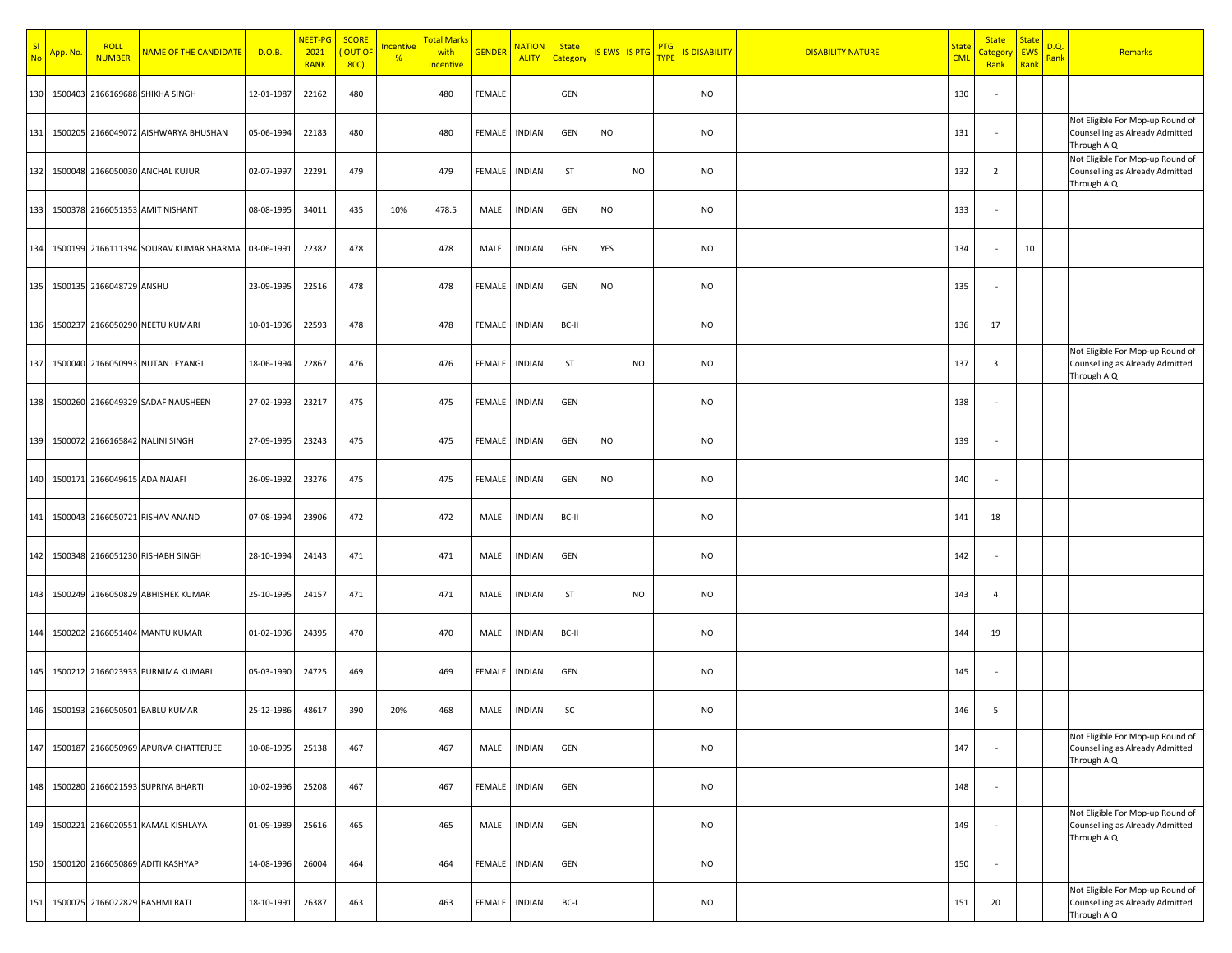| SI<br><b>No</b> | <mark>App. No</mark> | <b>ROLL</b><br><b>NUMBER</b>  | <b>NAME OF THE CANDIDATE</b>           | D.O.B.     | NEET-PG<br>2021<br><b>RANK</b> | <b>SCORE</b><br><mark>( OUT OF</mark><br>800 | <b>Incentive</b><br>$\frac{9}{6}$ | <mark>Total Marks</mark><br>with<br>Incentive | <b>GENDER</b> | <b>NATION</b><br><b>ALITY</b> | <b>State</b><br>Category | IS EWS IS PTG PTG |           | <b>IS DISABILITY</b> | <b>DISABILITY NATURE</b> | <b>State</b><br><b>CML</b> | <b>State</b><br><mark>Category</mark><br>Rank | <b>State</b><br><b>EWS</b><br>Rank | D.Q.<br><b>Rank</b> | Remarks                                                                            |
|-----------------|----------------------|-------------------------------|----------------------------------------|------------|--------------------------------|----------------------------------------------|-----------------------------------|-----------------------------------------------|---------------|-------------------------------|--------------------------|-------------------|-----------|----------------------|--------------------------|----------------------------|-----------------------------------------------|------------------------------------|---------------------|------------------------------------------------------------------------------------|
| 130             |                      |                               | 1500403 2166169688 SHIKHA SINGH        | 12-01-1987 | 22162                          | 480                                          |                                   | 480                                           | FEMALE        |                               | GEN                      |                   |           | <b>NO</b>            |                          | 130                        |                                               |                                    |                     |                                                                                    |
| 131             |                      |                               | 1500205 2166049072 AISHWARYA BHUSHAN   | 05-06-1994 | 22183                          | 480                                          |                                   | 480                                           | <b>FEMALE</b> | <b>INDIAN</b>                 | GEN                      | <b>NO</b>         |           | <b>NO</b>            |                          | 131                        |                                               |                                    |                     | Not Eligible For Mop-up Round of<br>Counselling as Already Admitted<br>Through AIQ |
| 132             |                      |                               | 1500048 2166050030 ANCHAL KUJUR        | 02-07-1997 | 22291                          | 479                                          |                                   | 479                                           | FEMALE        | <b>INDIAN</b>                 | ST                       |                   | <b>NO</b> | <b>NO</b>            |                          | 132                        | $\overline{2}$                                |                                    |                     | Not Eligible For Mop-up Round of<br>Counselling as Already Admitted<br>Through AIQ |
| 133             |                      |                               | 1500378 2166051353 AMIT NISHANT        | 08-08-1995 | 34011                          | 435                                          | 10%                               | 478.5                                         | MALE          | <b>INDIAN</b>                 | GEN                      | <b>NO</b>         |           | <b>NO</b>            |                          | 133                        |                                               |                                    |                     |                                                                                    |
| 134             |                      |                               | 1500199 2166111394 SOURAV KUMAR SHARMA | 03-06-1991 | 22382                          | 478                                          |                                   | 478                                           | MALE          | <b>INDIAN</b>                 | GEN                      | YES               |           | <b>NO</b>            |                          | 134                        |                                               | 10                                 |                     |                                                                                    |
| 135             |                      | 1500135 2166048729 ANSHU      |                                        | 23-09-1995 | 22516                          | 478                                          |                                   | 478                                           | FEMALE        | <b>INDIAN</b>                 | GEN                      | <b>NO</b>         |           | <b>NO</b>            |                          | 135                        |                                               |                                    |                     |                                                                                    |
| 136             |                      |                               | 1500237 2166050290 NEETU KUMARI        | 10-01-1996 | 22593                          | 478                                          |                                   | 478                                           | FEMALE        | <b>INDIAN</b>                 | BC-II                    |                   |           | <b>NO</b>            |                          | 136                        | 17                                            |                                    |                     |                                                                                    |
| 137             |                      |                               | 1500040 2166050993 NUTAN LEYANGI       | 18-06-1994 | 22867                          | 476                                          |                                   | 476                                           | FEMALE        | <b>INDIAN</b>                 | <b>ST</b>                |                   | <b>NO</b> | <b>NO</b>            |                          | 137                        | 3                                             |                                    |                     | Not Eligible For Mop-up Round of<br>Counselling as Already Admitted<br>Through AIQ |
| 138             |                      |                               | 1500260 2166049329 SADAF NAUSHEEN      | 27-02-1993 | 23217                          | 475                                          |                                   | 475                                           | FEMALE        | <b>INDIAN</b>                 | GEN                      |                   |           | <b>NO</b>            |                          | 138                        |                                               |                                    |                     |                                                                                    |
| 139             |                      |                               | 1500072 2166165842 NALINI SINGH        | 27-09-1995 | 23243                          | 475                                          |                                   | 475                                           | <b>FEMALE</b> | <b>INDIAN</b>                 | GEN                      | <b>NO</b>         |           | <b>NO</b>            |                          | 139                        |                                               |                                    |                     |                                                                                    |
| 140             |                      | 1500171 2166049615 ADA NAJAFI |                                        | 26-09-1992 | 23276                          | 475                                          |                                   | 475                                           | FEMALE        | <b>INDIAN</b>                 | GEN                      | <b>NO</b>         |           | <b>NO</b>            |                          | 140                        |                                               |                                    |                     |                                                                                    |
| 141             |                      |                               | 1500043 2166050721 RISHAV ANAND        | 07-08-1994 | 23906                          | 472                                          |                                   | 472                                           | MALE          | <b>INDIAN</b>                 | BC-II                    |                   |           | <b>NO</b>            |                          | 141                        | 18                                            |                                    |                     |                                                                                    |
| 142             |                      |                               | 1500348 2166051230 RISHABH SINGH       | 28-10-1994 | 24143                          | 471                                          |                                   | 471                                           | MALE          | <b>INDIAN</b>                 | GEN                      |                   |           | <b>NO</b>            |                          | 142                        |                                               |                                    |                     |                                                                                    |
| 143             |                      |                               | 1500249 2166050829 ABHISHEK KUMAR      | 25-10-1995 | 24157                          | 471                                          |                                   | 471                                           | MALE          | <b>INDIAN</b>                 | <b>ST</b>                |                   | <b>NO</b> | <b>NO</b>            |                          | 143                        | $\overline{4}$                                |                                    |                     |                                                                                    |
| 144             |                      |                               | 1500202 2166051404 MANTU KUMAR         | 01-02-1996 | 24395                          | 470                                          |                                   | 470                                           | MALE          | <b>INDIAN</b>                 | BC-II                    |                   |           | <b>NO</b>            |                          | 144                        | 19                                            |                                    |                     |                                                                                    |
| 145             |                      |                               | 1500212 2166023933 PURNIMA KUMARI      | 05-03-1990 | 24725                          | 469                                          |                                   | 469                                           | FEMALE        | <b>INDIAN</b>                 | GEN                      |                   |           | <b>NO</b>            |                          | 145                        |                                               |                                    |                     |                                                                                    |
| 146             |                      |                               | 1500193 2166050501 BABLU KUMAR         | 25-12-1986 | 48617                          | 390                                          | 20%                               | 468                                           | MALE          | <b>INDIAN</b>                 | SC                       |                   |           | <b>NO</b>            |                          | 146                        | 5                                             |                                    |                     |                                                                                    |
| 147             |                      |                               | 1500187 2166050969 APURVA CHATTERJEE   | 10-08-1995 | 25138                          | 467                                          |                                   | 467                                           | MALE          | <b>INDIAN</b>                 | GEN                      |                   |           | <b>NO</b>            |                          | 147                        |                                               |                                    |                     | Not Eligible For Mop-up Round of<br>Counselling as Already Admitted<br>Through AIQ |
| 148             |                      |                               | 1500280 2166021593 SUPRIYA BHARTI      | 10-02-1996 | 25208                          | 467                                          |                                   | 467                                           | FEMALE        | <b>INDIAN</b>                 | GEN                      |                   |           | <b>NO</b>            |                          | 148                        | $\overline{\phantom{a}}$                      |                                    |                     |                                                                                    |
| 149             | 1500221              |                               | 2166020551 KAMAL KISHLAYA              | 01-09-1989 | 25616                          | 465                                          |                                   | 465                                           | MALE          | <b>INDIAN</b>                 | GEN                      |                   |           | <b>NO</b>            |                          | 149                        |                                               |                                    |                     | Not Eligible For Mop-up Round of<br>Counselling as Already Admitted<br>Through AIQ |
| 150             | 1500120              |                               | 2166050869 ADITI KASHYAP               | 14-08-1996 | 26004                          | 464                                          |                                   | 464                                           | FEMALE        | <b>INDIAN</b>                 | GEN                      |                   |           | <b>NO</b>            |                          | 150                        |                                               |                                    |                     |                                                                                    |
| 151             | 1500075              |                               | 2166022829 RASHMI RATI                 | 18-10-1991 | 26387                          | 463                                          |                                   | 463                                           | FEMALE        | <b>INDIAN</b>                 | BC-I                     |                   |           | <b>NO</b>            |                          | 151                        | 20                                            |                                    |                     | Not Eligible For Mop-up Round of<br>Counselling as Already Admitted<br>Through AIQ |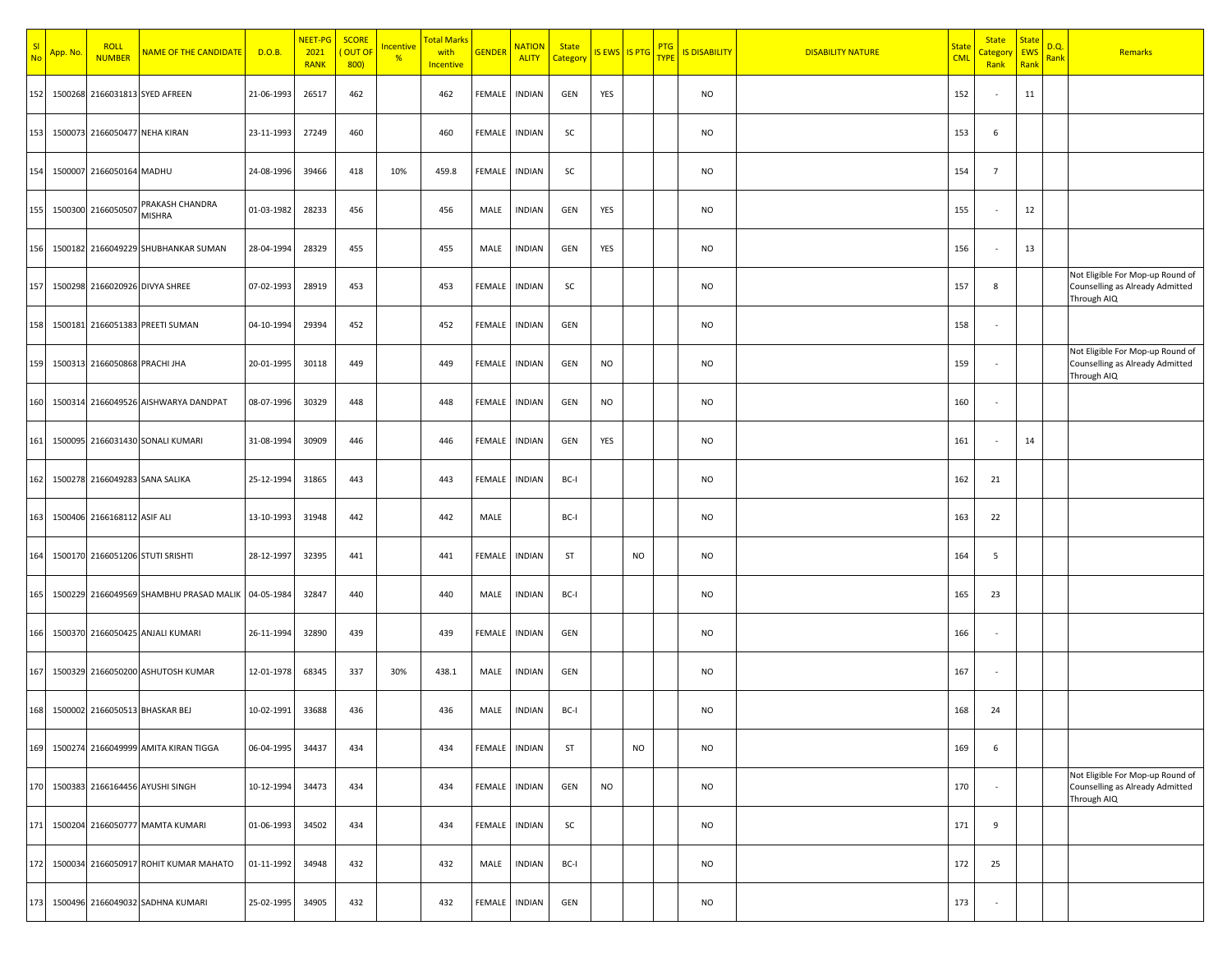| SI<br><b>No</b> | App. No. | <b>ROLL</b><br><b>NUMBER</b>  | NAME OF THE CANDIDATE                              | D.O.B.     | NEET-PG<br>2021<br><b>RANK</b> | <b>SCORE</b><br><mark>( OUT OF</mark><br>800 | <b>Incentive</b><br>$\frac{9}{6}$ | <mark>Total Marks</mark><br>with<br><b>Incentive</b> | <b>GENDER</b> | <b>NATION</b><br><b>ALITY</b> | <b>State</b><br>Category | IS EWS IS PTG |           | <b>PTG</b><br><b>TYPE</b> | <b>IS DISABILITY</b> | <b>DISABILITY NATURE</b> | <mark>State</mark><br><b>CML</b> | <b>State</b><br><mark>Categor</mark> y<br>Rank | <b>State</b><br>EWS<br>Rank | D.Q.<br><mark>Rank</mark> | Remarks                                                                            |
|-----------------|----------|-------------------------------|----------------------------------------------------|------------|--------------------------------|----------------------------------------------|-----------------------------------|------------------------------------------------------|---------------|-------------------------------|--------------------------|---------------|-----------|---------------------------|----------------------|--------------------------|----------------------------------|------------------------------------------------|-----------------------------|---------------------------|------------------------------------------------------------------------------------|
| 152             |          |                               | 1500268 2166031813 SYED AFREEN                     | 21-06-1993 | 26517                          | 462                                          |                                   | 462                                                  | FEMALE        | <b>INDIAN</b>                 | GEN                      | YES           |           |                           | NO                   |                          | 152                              |                                                | 11                          |                           |                                                                                    |
| 153             |          |                               | 1500073 2166050477 NEHA KIRAN                      | 23-11-1993 | 27249                          | 460                                          |                                   | 460                                                  | FEMALE        | <b>INDIAN</b>                 | SC                       |               |           |                           | NO                   |                          | 153                              | 6                                              |                             |                           |                                                                                    |
| 154             |          | 1500007 2166050164 MADHU      |                                                    | 24-08-1996 | 39466                          | 418                                          | 10%                               | 459.8                                                | FEMALE        | <b>INDIAN</b>                 | SC                       |               |           |                           | NO                   |                          | 154                              | $\overline{7}$                                 |                             |                           |                                                                                    |
| 155             |          | 1500300 2166050507            | PRAKASH CHANDRA<br>MISHRA                          | 01-03-1982 | 28233                          | 456                                          |                                   | 456                                                  | MALE          | <b>INDIAN</b>                 | GEN                      | YES           |           |                           | NO                   |                          | 155                              |                                                | 12                          |                           |                                                                                    |
| 156             |          |                               | 1500182 2166049229 SHUBHANKAR SUMAN                | 28-04-1994 | 28329                          | 455                                          |                                   | 455                                                  | MALE          | <b>INDIAN</b>                 | GEN                      | YES           |           |                           | NO                   |                          | 156                              |                                                | 13                          |                           |                                                                                    |
| 157             |          |                               | 1500298 2166020926 DIVYA SHREE                     | 07-02-1993 | 28919                          | 453                                          |                                   | 453                                                  | FEMALE        | <b>INDIAN</b>                 | SC                       |               |           |                           | NO                   |                          | 157                              | 8                                              |                             |                           | Not Eligible For Mop-up Round of<br>Counselling as Already Admitted<br>Through AIQ |
| 158             |          |                               | 1500181 2166051383 PREETI SUMAN                    | 04-10-1994 | 29394                          | 452                                          |                                   | 452                                                  | FEMALE        | <b>INDIAN</b>                 | GEN                      |               |           |                           | NO                   |                          | 158                              | $\overline{\phantom{a}}$                       |                             |                           |                                                                                    |
| 159             |          | 1500313 2166050868 PRACHI JHA |                                                    | 20-01-1995 | 30118                          | 449                                          |                                   | 449                                                  | FEMALE        | <b>INDIAN</b>                 | GEN                      | <b>NO</b>     |           |                           | NO                   |                          | 159                              |                                                |                             |                           | Not Eligible For Mop-up Round of<br>Counselling as Already Admitted<br>Through AIQ |
| 160             |          |                               | 1500314 2166049526 AISHWARYA DANDPAT               | 08-07-1996 | 30329                          | 448                                          |                                   | 448                                                  | FEMALE        | <b>INDIAN</b>                 | GEN                      | <b>NO</b>     |           |                           | NO                   |                          | 160                              |                                                |                             |                           |                                                                                    |
| 161             |          |                               | 1500095 2166031430 SONALI KUMARI                   | 31-08-1994 | 30909                          | 446                                          |                                   | 446                                                  | FEMALE        | <b>INDIAN</b>                 | GEN                      | YES           |           |                           | NO                   |                          | 161                              |                                                | 14                          |                           |                                                                                    |
| 162             |          |                               | 1500278 2166049283 SANA SALIKA                     | 25-12-1994 | 31865                          | 443                                          |                                   | 443                                                  | FEMALE        | <b>INDIAN</b>                 | BC-I                     |               |           |                           | NO                   |                          | 162                              | 21                                             |                             |                           |                                                                                    |
| 163             |          | 1500406 2166168112 ASIF ALI   |                                                    | 13-10-1993 | 31948                          | 442                                          |                                   | 442                                                  | MALE          |                               | BC-I                     |               |           |                           | NO                   |                          | 163                              | 22                                             |                             |                           |                                                                                    |
| 164             | 1500170  |                               | 2166051206 STUTI SRISHTI                           | 28-12-1997 | 32395                          | 441                                          |                                   | 441                                                  | FEMALE        | <b>INDIAN</b>                 | ST                       |               | <b>NO</b> |                           | NO                   |                          | 164                              | 5                                              |                             |                           |                                                                                    |
| 165             |          |                               | 1500229 2166049569 SHAMBHU PRASAD MALIK 04-05-1984 |            | 32847                          | 440                                          |                                   | 440                                                  | MALE          | <b>INDIAN</b>                 | BC-I                     |               |           |                           | NO                   |                          | 165                              | 23                                             |                             |                           |                                                                                    |
| 166             |          |                               | 1500370 2166050425 ANJALI KUMARI                   | 26-11-1994 | 32890                          | 439                                          |                                   | 439                                                  | FEMALE        | <b>INDIAN</b>                 | GEN                      |               |           |                           | NO                   |                          | 166                              | $\overline{\phantom{a}}$                       |                             |                           |                                                                                    |
| 167             |          |                               | 1500329 2166050200 ASHUTOSH KUMAR                  | 12-01-1978 | 68345                          | 337                                          | 30%                               | 438.1                                                | MALE          | <b>INDIAN</b>                 | GEN                      |               |           |                           | NO                   |                          | 167                              |                                                |                             |                           |                                                                                    |
| 168             |          |                               | 1500002 2166050513 BHASKAR BEJ                     | 10-02-1991 | 33688                          | 436                                          |                                   | 436                                                  | MALE          | <b>INDIAN</b>                 | BC-I                     |               |           |                           | NO                   |                          | 168                              | 24                                             |                             |                           |                                                                                    |
| 169             |          |                               | 1500274 2166049999 AMITA KIRAN TIGGA               | 06-04-1995 | 34437                          | 434                                          |                                   | 434                                                  | FEMALE        | <b>INDIAN</b>                 | ST                       |               | <b>NO</b> |                           | NO                   |                          | 169                              | 6                                              |                             |                           |                                                                                    |
| 170             |          |                               | 1500383 2166164456 AYUSHI SINGH                    | 10-12-1994 | 34473                          | 434                                          |                                   | 434                                                  | FEMALE        | <b>INDIAN</b>                 | GEN                      | <b>NO</b>     |           |                           | <b>NO</b>            |                          | 170                              | $\overline{\phantom{a}}$                       |                             |                           | Not Eligible For Mop-up Round of<br>Counselling as Already Admitted<br>Through AIQ |
| 171             |          |                               | 1500204 2166050777 MAMTA KUMARI                    | 01-06-1993 | 34502                          | 434                                          |                                   | 434                                                  | FEMALE        | <b>INDIAN</b>                 | SC                       |               |           |                           | NO                   |                          | 171                              | 9                                              |                             |                           |                                                                                    |
| 172             |          |                               | 1500034 2166050917 ROHIT KUMAR MAHATO              | 01-11-1992 | 34948                          | 432                                          |                                   | 432                                                  | MALE          | <b>INDIAN</b>                 | BC-I                     |               |           |                           | NO                   |                          | 172                              | 25                                             |                             |                           |                                                                                    |
| 173             | 1500496  |                               | 2166049032 SADHNA KUMARI                           | 25-02-1995 | 34905                          | 432                                          |                                   | 432                                                  | FEMALE        | INDIAN                        | GEN                      |               |           |                           | NO                   |                          | 173                              |                                                |                             |                           |                                                                                    |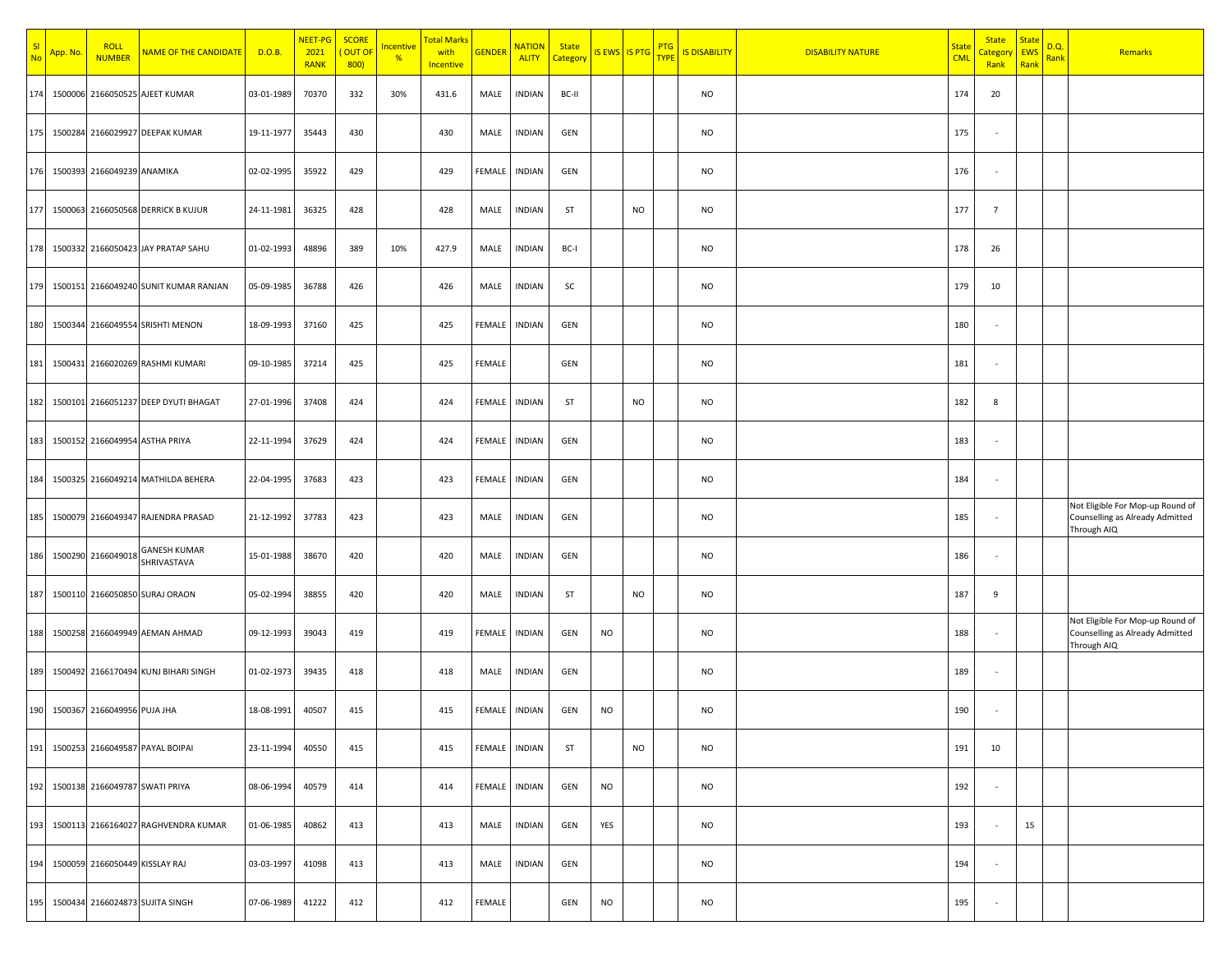| S <sub>l</sub><br><b>No</b> | App. No | <b>ROLL</b><br><b>NUMBER</b>       | <b>NAME OF THE CANDIDATE</b>           | D.O.B.     | NEET-PG<br>2021<br><b>RANK</b> | <b>SCORE</b><br><mark>( OUT O</mark> F<br>800 | <b>Incentive</b><br>$\frac{9}{6}$ | <mark>Total Marks</mark><br>with<br><b>Incentive</b> | <b>GENDER</b> | <b>NATION</b><br><b>ALITY</b> | <b>State</b><br>Category | IS EWS IS PTG |           | <b>PTG</b><br><b>TYPE</b> | <b>IS DISABILITY</b> | <b>DISABILITY NATURE</b> | <mark>State</mark><br><b>CML</b> | <b>State</b><br><mark>Categor</mark><br>Rank | <b>State</b><br><b>EWS</b><br>Rank | D.Q.<br>Rank | Remarks                                                                            |
|-----------------------------|---------|------------------------------------|----------------------------------------|------------|--------------------------------|-----------------------------------------------|-----------------------------------|------------------------------------------------------|---------------|-------------------------------|--------------------------|---------------|-----------|---------------------------|----------------------|--------------------------|----------------------------------|----------------------------------------------|------------------------------------|--------------|------------------------------------------------------------------------------------|
| 174                         |         |                                    | 1500006 2166050525 AJEET KUMAR         | 03-01-1989 | 70370                          | 332                                           | 30%                               | 431.6                                                | MALE          | <b>INDIAN</b>                 | BC-II                    |               |           |                           | NO                   |                          | 174                              | 20                                           |                                    |              |                                                                                    |
| 175                         |         |                                    | 1500284 2166029927 DEEPAK KUMAR        | 19-11-1977 | 35443                          | 430                                           |                                   | 430                                                  | MALE          | <b>INDIAN</b>                 | GEN                      |               |           |                           | NO                   |                          | 175                              | $\overline{\phantom{a}}$                     |                                    |              |                                                                                    |
| 176                         |         | 1500393 2166049239 ANAMIKA         |                                        | 02-02-1995 | 35922                          | 429                                           |                                   | 429                                                  | FEMALE        | <b>INDIAN</b>                 | GEN                      |               |           |                           | NO                   |                          | 176                              |                                              |                                    |              |                                                                                    |
| 177                         |         |                                    | 1500063 2166050568 DERRICK B KUJUR     | 24-11-1981 | 36325                          | 428                                           |                                   | 428                                                  | MALE          | <b>INDIAN</b>                 | ST                       |               | <b>NO</b> |                           | NO                   |                          | 177                              | $\overline{7}$                               |                                    |              |                                                                                    |
|                             |         |                                    | 178 1500332 2166050423 JAY PRATAP SAHU | 01-02-1993 | 48896                          | 389                                           | 10%                               | 427.9                                                | MALE          | <b>INDIAN</b>                 | BC-I                     |               |           |                           | NO                   |                          | 178                              | 26                                           |                                    |              |                                                                                    |
| 179                         |         |                                    | 1500151 2166049240 SUNIT KUMAR RANJAN  | 05-09-1985 | 36788                          | 426                                           |                                   | 426                                                  | MALE          | <b>INDIAN</b>                 | SC                       |               |           |                           | NO                   |                          | 179                              | 10                                           |                                    |              |                                                                                    |
| 180                         |         |                                    | 1500344 2166049554 SRISHTI MENON       | 18-09-1993 | 37160                          | 425                                           |                                   | 425                                                  | FEMALE        | <b>INDIAN</b>                 | GEN                      |               |           |                           | NO                   |                          | 180                              |                                              |                                    |              |                                                                                    |
| 181                         |         |                                    | 1500431 2166020269 RASHMI KUMARI       | 09-10-1985 | 37214                          | 425                                           |                                   | 425                                                  | FEMALE        |                               | GEN                      |               |           |                           | NO                   |                          | 181                              |                                              |                                    |              |                                                                                    |
| 182                         |         |                                    | 1500101 2166051237 DEEP DYUTI BHAGAT   | 27-01-1996 | 37408                          | 424                                           |                                   | 424                                                  | FEMALE        | <b>INDIAN</b>                 | <b>ST</b>                |               | <b>NO</b> |                           | NO                   |                          | 182                              | 8                                            |                                    |              |                                                                                    |
| 183                         |         |                                    | 1500152 2166049954 ASTHA PRIYA         | 22-11-1994 | 37629                          | 424                                           |                                   | 424                                                  | FEMALE        | <b>INDIAN</b>                 | GEN                      |               |           |                           | NO                   |                          | 183                              | $\overline{\phantom{a}}$                     |                                    |              |                                                                                    |
| 184                         |         |                                    | 1500325 2166049214 MATHILDA BEHERA     | 22-04-1995 | 37683                          | 423                                           |                                   | 423                                                  | FEMALE        | <b>INDIAN</b>                 | GEN                      |               |           |                           | NO                   |                          | 184                              | $\overline{\phantom{a}}$                     |                                    |              |                                                                                    |
| 185                         |         |                                    | 1500079 2166049347 RAJENDRA PRASAD     | 21-12-1992 | 37783                          | 423                                           |                                   | 423                                                  | MALE          | <b>INDIAN</b>                 | GEN                      |               |           |                           | NO                   |                          | 185                              |                                              |                                    |              | Not Eligible For Mop-up Round of<br>Counselling as Already Admitted<br>Through AIQ |
| 186                         |         | 1500290 2166049018                 | <b>GANESH KUMAR</b><br>SHRIVASTAVA     | 15-01-1988 | 38670                          | 420                                           |                                   | 420                                                  | MALE          | <b>INDIAN</b>                 | GEN                      |               |           |                           | NO                   |                          | 186                              |                                              |                                    |              |                                                                                    |
| 187                         |         |                                    | 1500110 2166050850 SURAJ ORAON         | 05-02-1994 | 38855                          | 420                                           |                                   | 420                                                  | MALE          | <b>INDIAN</b>                 | ST                       |               | <b>NO</b> |                           | NO                   |                          | 187                              | 9                                            |                                    |              |                                                                                    |
| 188                         |         |                                    | 1500258 2166049949 AEMAN AHMAD         | 09-12-1993 | 39043                          | 419                                           |                                   | 419                                                  | FEMALE        | <b>INDIAN</b>                 | GEN                      | <b>NO</b>     |           |                           | NO                   |                          | 188                              |                                              |                                    |              | Not Eligible For Mop-up Round of<br>Counselling as Already Admitted<br>Through AIQ |
| 189                         |         |                                    | 1500492 2166170494 KUNJ BIHARI SINGH   | 01-02-1973 | 39435                          | 418                                           |                                   | 418                                                  | MALE          | <b>INDIAN</b>                 | GEN                      |               |           |                           | NO                   |                          | 189                              |                                              |                                    |              |                                                                                    |
| 190                         |         | 1500367 2166049956 PUJA JHA        |                                        | 18-08-1991 | 40507                          | 415                                           |                                   | 415                                                  | FEMALE        | <b>INDIAN</b>                 | GEN                      | <b>NO</b>     |           |                           | NO                   |                          | 190                              |                                              |                                    |              |                                                                                    |
|                             |         |                                    | 191 1500253 2166049587 PAYAL BOIPAI    | 23-11-1994 | 40550                          | 415                                           |                                   | 415                                                  | <b>FEMALE</b> | <b>INDIAN</b>                 | <b>ST</b>                |               | <b>NO</b> |                           | NO                   |                          | 191                              | 10                                           |                                    |              |                                                                                    |
| 192                         |         |                                    | 1500138 2166049787 SWATI PRIYA         | 08-06-1994 | 40579                          | 414                                           |                                   | 414                                                  | FEMALE        | <b>INDIAN</b>                 | GEN                      | <b>NO</b>     |           |                           | NO                   |                          | 192                              | $\sim$                                       |                                    |              |                                                                                    |
| 193                         |         |                                    | 1500113 2166164027 RAGHVENDRA KUMAR    | 01-06-1985 | 40862                          | 413                                           |                                   | 413                                                  | MALE          | <b>INDIAN</b>                 | GEN                      | YES           |           |                           | NO                   |                          | 193                              | $\sim$                                       | 15                                 |              |                                                                                    |
|                             |         | 194 1500059 2166050449 KISSLAY RAJ |                                        | 03-03-1997 | 41098                          | 413                                           |                                   | 413                                                  | MALE          | <b>INDIAN</b>                 | GEN                      |               |           |                           | NO                   |                          | 194                              | $\overline{\phantom{a}}$                     |                                    |              |                                                                                    |
|                             |         |                                    | 195 1500434 2166024873 SUJITA SINGH    | 07-06-1989 | 41222                          | 412                                           |                                   | 412                                                  | FEMALE        |                               | GEN                      | <b>NO</b>     |           |                           | NO                   |                          | 195                              |                                              |                                    |              |                                                                                    |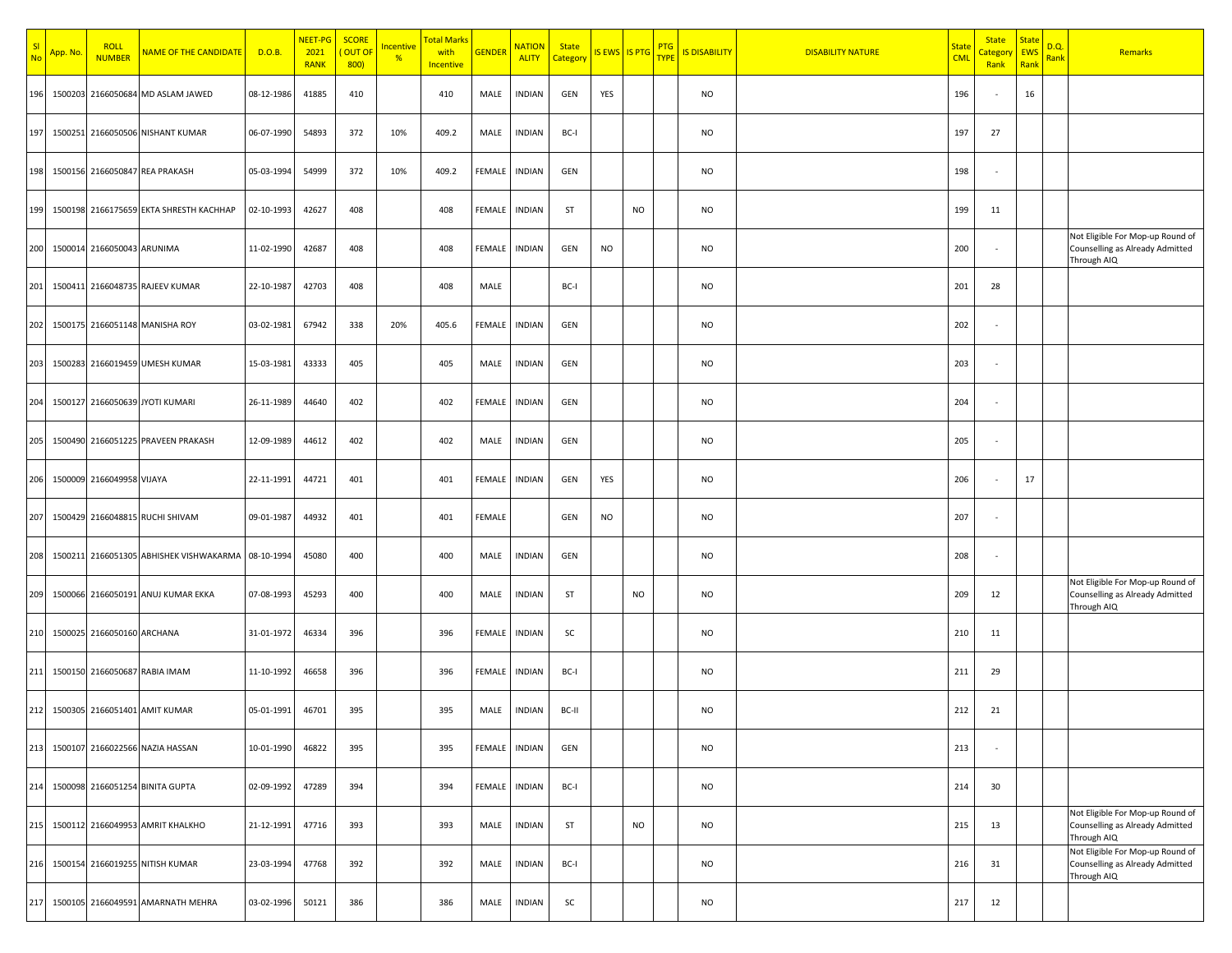| SI<br><b>No</b> | App. No | <b>ROLL</b><br><b>NUMBER</b> | NAME OF THE CANDIDATE                   | D.O.B.     | NEET-PG<br>2021<br><b>RANK</b> | <b>SCORE</b><br><mark>( OUT OF</mark><br>800 | <b>Incentive</b><br>$\frac{9}{6}$ | Total Marks<br>with<br><b>Incentive</b> | <b>GENDER</b> | <b>NATION</b><br><b>ALITY</b> | <b>State</b><br>Category | IS EWS IS PTG |           | <b>PTG</b><br><b>TYPE</b> | <b>IS DISABILITY</b> | <b>DISABILITY NATURE</b> | <mark>State</mark><br><b>CML</b> | <b>State</b><br><mark>Categor</mark> y<br>Rank | <b>State</b><br>EWS<br>Rank | D.Q.<br><mark>Rank</mark> | Remarks                                                                            |
|-----------------|---------|------------------------------|-----------------------------------------|------------|--------------------------------|----------------------------------------------|-----------------------------------|-----------------------------------------|---------------|-------------------------------|--------------------------|---------------|-----------|---------------------------|----------------------|--------------------------|----------------------------------|------------------------------------------------|-----------------------------|---------------------------|------------------------------------------------------------------------------------|
| 196             | 1500203 |                              | 2166050684 MD ASLAM JAWED               | 08-12-1986 | 41885                          | 410                                          |                                   | 410                                     | MALE          | <b>INDIAN</b>                 | GEN                      | YES           |           |                           | NO                   |                          | 196                              |                                                | 16                          |                           |                                                                                    |
| 197             |         |                              | 1500251 2166050506 NISHANT KUMAR        | 06-07-1990 | 54893                          | 372                                          | 10%                               | 409.2                                   | MALE          | <b>INDIAN</b>                 | BC-I                     |               |           |                           | NO                   |                          | 197                              | 27                                             |                             |                           |                                                                                    |
| 198             |         |                              | 1500156 2166050847 REA PRAKASH          | 05-03-1994 | 54999                          | 372                                          | 10%                               | 409.2                                   | FEMALE        | <b>INDIAN</b>                 | GEN                      |               |           |                           | NO                   |                          | 198                              |                                                |                             |                           |                                                                                    |
| 199             |         |                              | 1500198 2166175659 EKTA SHRESTH KACHHAP | 02-10-1993 | 42627                          | 408                                          |                                   | 408                                     | FEMALE        | <b>INDIAN</b>                 | ST                       |               | <b>NO</b> |                           | NO                   |                          | 199                              | 11                                             |                             |                           |                                                                                    |
| 200             |         | 1500014 2166050043 ARUNIMA   |                                         | 11-02-1990 | 42687                          | 408                                          |                                   | 408                                     | FEMALE        | <b>INDIAN</b>                 | GEN                      | <b>NO</b>     |           |                           | NO                   |                          | 200                              |                                                |                             |                           | Not Eligible For Mop-up Round of<br>Counselling as Already Admitted<br>Through AIQ |
| 201             |         |                              | 1500411 2166048735 RAJEEV KUMAR         | 22-10-1987 | 42703                          | 408                                          |                                   | 408                                     | MALE          |                               | BC-I                     |               |           |                           | NO                   |                          | 201                              | 28                                             |                             |                           |                                                                                    |
| 202             |         |                              | 1500175 2166051148 MANISHA ROY          | 03-02-1981 | 67942                          | 338                                          | 20%                               | 405.6                                   | FEMALE        | <b>INDIAN</b>                 | GEN                      |               |           |                           | NO                   |                          | 202                              |                                                |                             |                           |                                                                                    |
| 203             |         |                              | 1500283 2166019459 UMESH KUMAR          | 15-03-1981 | 43333                          | 405                                          |                                   | 405                                     | MALE          | <b>INDIAN</b>                 | GEN                      |               |           |                           | NO                   |                          | 203                              |                                                |                             |                           |                                                                                    |
| 204             |         |                              | 1500127 2166050639 JYOTI KUMARI         | 26-11-1989 | 44640                          | 402                                          |                                   | 402                                     | FEMALE        | <b>INDIAN</b>                 | GEN                      |               |           |                           | NO                   |                          | 204                              |                                                |                             |                           |                                                                                    |
| 205             |         |                              | 1500490 2166051225 PRAVEEN PRAKASH      | 12-09-1989 | 44612                          | 402                                          |                                   | 402                                     | MALE          | <b>INDIAN</b>                 | GEN                      |               |           |                           | NO                   |                          | 205                              |                                                |                             |                           |                                                                                    |
| 206             |         | 1500009 2166049958 VIJAYA    |                                         | 22-11-1991 | 44721                          | 401                                          |                                   | 401                                     | FEMALE        | <b>INDIAN</b>                 | GEN                      | YES           |           |                           | NO                   |                          | 206                              |                                                | 17                          |                           |                                                                                    |
| 207             |         |                              | 1500429 2166048815 RUCHI SHIVAM         | 09-01-1987 | 44932                          | 401                                          |                                   | 401                                     | FEMALE        |                               | GEN                      | <b>NO</b>     |           |                           | NO                   |                          | 207                              |                                                |                             |                           |                                                                                    |
| 208             |         |                              | 1500211 2166051305 ABHISHEK VISHWAKARMA | 08-10-1994 | 45080                          | 400                                          |                                   | 400                                     | MALE          | <b>INDIAN</b>                 | GEN                      |               |           |                           | NO                   |                          | 208                              |                                                |                             |                           |                                                                                    |
| 209             |         |                              | 1500066 2166050191 ANUJ KUMAR EKKA      | 07-08-1993 | 45293                          | 400                                          |                                   | 400                                     | MALE          | <b>INDIAN</b>                 | ST                       |               | <b>NO</b> |                           | NO                   |                          | 209                              | 12                                             |                             |                           | Not Eligible For Mop-up Round of<br>Counselling as Already Admitted<br>Through AIQ |
| 210             |         | 1500025 2166050160 ARCHANA   |                                         | 31-01-1972 | 46334                          | 396                                          |                                   | 396                                     | FEMALE        | <b>INDIAN</b>                 | SC                       |               |           |                           | NO                   |                          | 210                              | 11                                             |                             |                           |                                                                                    |
| 211             |         |                              | 1500150 2166050687 RABIA IMAM           | 11-10-1992 | 46658                          | 396                                          |                                   | 396                                     | FEMALE        | <b>INDIAN</b>                 | BC-I                     |               |           |                           | NO                   |                          | 211                              | 29                                             |                             |                           |                                                                                    |
| 212             |         |                              | 1500305 2166051401 AMIT KUMAR           | 05-01-1991 | 46701                          | 395                                          |                                   | 395                                     | MALE          | <b>INDIAN</b>                 | BC-II                    |               |           |                           | NO                   |                          | 212                              | 21                                             |                             |                           |                                                                                    |
| 213             |         |                              | 1500107 2166022566 NAZIA HASSAN         | 10-01-1990 | 46822                          | 395                                          |                                   | 395                                     | FEMALE        | <b>INDIAN</b>                 | GEN                      |               |           |                           | NO                   |                          | 213                              |                                                |                             |                           |                                                                                    |
| 214             |         |                              | 1500098 2166051254 BINITA GUPTA         | 02-09-1992 | 47289                          | 394                                          |                                   | 394                                     | FEMALE        | <b>INDIAN</b>                 | BC-I                     |               |           |                           | <b>NO</b>            |                          | 214                              | 30                                             |                             |                           |                                                                                    |
| 215             |         |                              | 1500112 2166049953 AMRIT KHALKHO        | 21-12-1991 | 47716                          | 393                                          |                                   | 393                                     | MALE          | <b>INDIAN</b>                 | ST                       |               | <b>NO</b> |                           | NO                   |                          | 215                              | 13                                             |                             |                           | Not Eligible For Mop-up Round of<br>Counselling as Already Admitted<br>Through AIQ |
| 216             |         |                              | 1500154 2166019255 NITISH KUMAR         | 23-03-1994 | 47768                          | 392                                          |                                   | 392                                     | MALE          | <b>INDIAN</b>                 | BC-I                     |               |           |                           | NO                   |                          | 216                              | 31                                             |                             |                           | Not Eligible For Mop-up Round of<br>Counselling as Already Admitted<br>Through AIQ |
| 217             | 1500105 |                              | 2166049591 AMARNATH MEHRA               | 03-02-1996 | 50121                          | 386                                          |                                   | 386                                     | MALE          | <b>INDIAN</b>                 | SC                       |               |           |                           | NO                   |                          | 217                              | 12                                             |                             |                           |                                                                                    |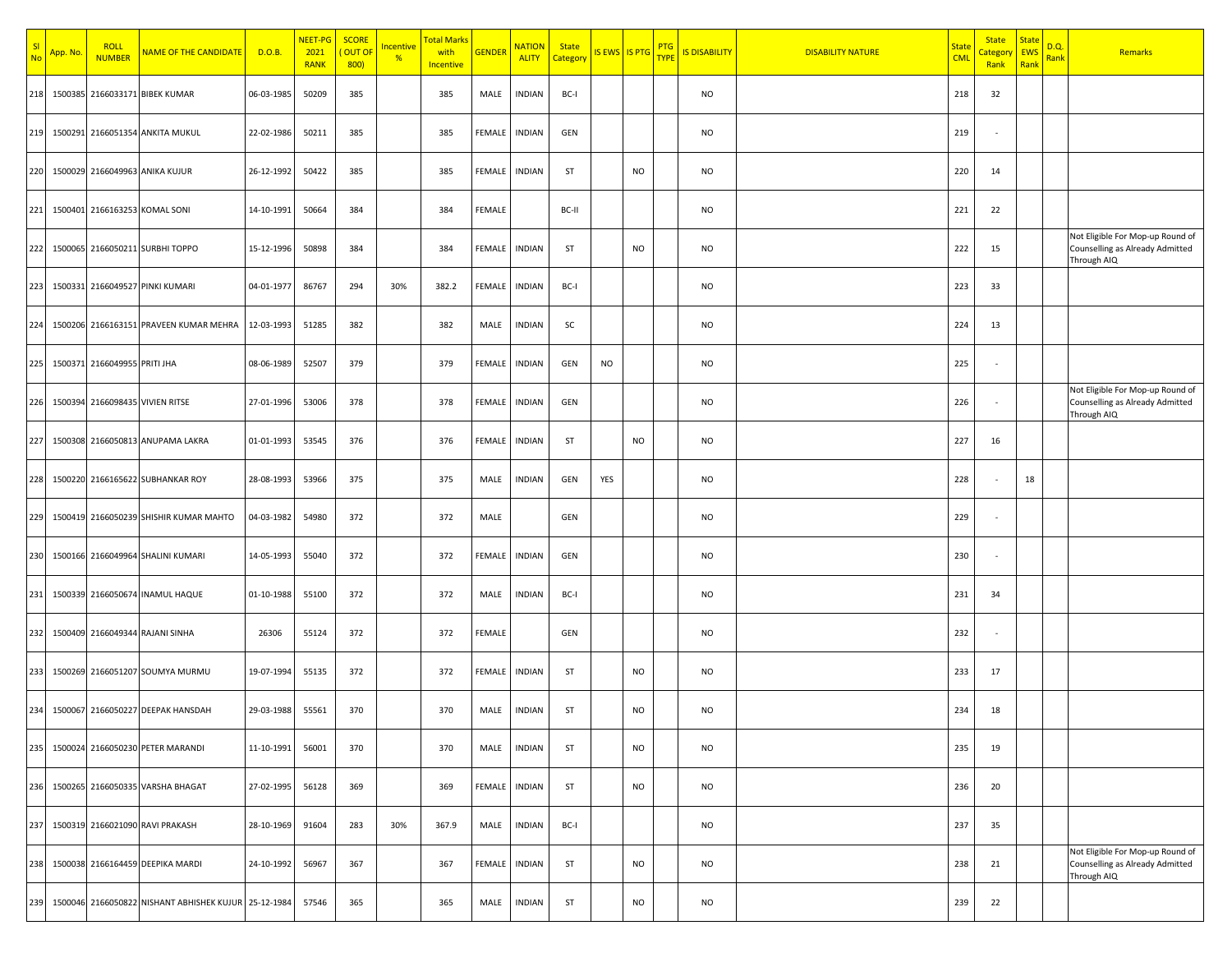| SI<br>No | App. No. | <b>ROLL</b><br><b>NUMBER</b> | <b>NAME OF THE CANDIDATE</b>                         | D.O.B.     | NEET-PG<br>2021<br><b>RANK</b> | <b>SCORE</b><br><mark>( OUT OF</mark><br>800 | <u>Incentive</u><br>$\frac{9}{6}$ | Total Marks<br>with<br><b>Incentive</b> | <b>GENDER</b> | <b>NATION</b><br><b>ALITY</b> | <b>State</b><br>Category | IS EWS IS PTG |           | <b>PTG</b><br><b>TYPE</b> | <b>IS DISABILITY</b> | <b>DISABILITY NATURE</b> | <mark>State</mark><br><b>CML</b> | <b>State</b><br><mark>Categon</mark><br>Rank | <b>State</b><br><b>EWS</b><br>Rank | D.Q.<br><mark>Rank</mark> | Remarks                                                                            |
|----------|----------|------------------------------|------------------------------------------------------|------------|--------------------------------|----------------------------------------------|-----------------------------------|-----------------------------------------|---------------|-------------------------------|--------------------------|---------------|-----------|---------------------------|----------------------|--------------------------|----------------------------------|----------------------------------------------|------------------------------------|---------------------------|------------------------------------------------------------------------------------|
| 218      |          |                              | 1500385 2166033171 BIBEK KUMAR                       | 06-03-1985 | 50209                          | 385                                          |                                   | 385                                     | MALE          | <b>INDIAN</b>                 | BC-I                     |               |           |                           | NO                   |                          | 218                              | 32                                           |                                    |                           |                                                                                    |
| 219      |          |                              | 1500291 2166051354 ANKITA MUKUL                      | 22-02-1986 | 50211                          | 385                                          |                                   | 385                                     | FEMALE        | <b>INDIAN</b>                 | GEN                      |               |           |                           | NO                   |                          | 219                              |                                              |                                    |                           |                                                                                    |
| 220      |          |                              | 1500029 2166049963 ANIKA KUJUR                       | 26-12-1992 | 50422                          | 385                                          |                                   | 385                                     | FEMALE        | <b>INDIAN</b>                 | ST                       |               | <b>NO</b> |                           | NO                   |                          | 220                              | 14                                           |                                    |                           |                                                                                    |
| 221      |          |                              | 1500401 2166163253 KOMAL SONI                        | 14-10-1991 | 50664                          | 384                                          |                                   | 384                                     | FEMALE        |                               | BC-II                    |               |           |                           | NO                   |                          | 221                              | 22                                           |                                    |                           |                                                                                    |
| 222      |          |                              | 1500065 2166050211 SURBHI TOPPO                      | 15-12-1996 | 50898                          | 384                                          |                                   | 384                                     | FEMALE        | <b>INDIAN</b>                 | ST                       |               | <b>NO</b> |                           | NO                   |                          | 222                              | 15                                           |                                    |                           | Not Eligible For Mop-up Round of<br>Counselling as Already Admitted<br>Through AIQ |
| 223      |          |                              | 1500331 2166049527 PINKI KUMARI                      | 04-01-1977 | 86767                          | 294                                          | 30%                               | 382.2                                   | FEMALE        | <b>INDIAN</b>                 | BC-I                     |               |           |                           | <b>NO</b>            |                          | 223                              | 33                                           |                                    |                           |                                                                                    |
| 224      |          |                              | 1500206 2166163151 PRAVEEN KUMAR MEHRA               | 12-03-1993 | 51285                          | 382                                          |                                   | 382                                     | MALE          | <b>INDIAN</b>                 | SC                       |               |           |                           | NO                   |                          | 224                              | 13                                           |                                    |                           |                                                                                    |
| 225      |          | 1500371 2166049955 PRITI JHA |                                                      | 08-06-1989 | 52507                          | 379                                          |                                   | 379                                     | FEMALE        | <b>INDIAN</b>                 | GEN                      | <b>NO</b>     |           |                           | NO                   |                          | 225                              |                                              |                                    |                           |                                                                                    |
| 226      |          |                              | 1500394 2166098435 VIVIEN RITSE                      | 27-01-1996 | 53006                          | 378                                          |                                   | 378                                     | FEMALE        | <b>INDIAN</b>                 | GEN                      |               |           |                           | NO                   |                          | 226                              |                                              |                                    |                           | Not Eligible For Mop-up Round of<br>Counselling as Already Admitted<br>Through AIQ |
| 227      |          |                              | 1500308 2166050813 ANUPAMA LAKRA                     | 01-01-1993 | 53545                          | 376                                          |                                   | 376                                     | FEMALE        | <b>INDIAN</b>                 | ST                       |               | <b>NO</b> |                           | NO                   |                          | 227                              | 16                                           |                                    |                           |                                                                                    |
| 228      |          |                              | 1500220 2166165622 SUBHANKAR ROY                     | 28-08-1993 | 53966                          | 375                                          |                                   | 375                                     | MALE          | <b>INDIAN</b>                 | GEN                      | YES           |           |                           | NO                   |                          | 228                              | $\overline{\phantom{a}}$                     | 18                                 |                           |                                                                                    |
| 229      |          |                              | 1500419 2166050239 SHISHIR KUMAR MAHTO               | 04-03-1982 | 54980                          | 372                                          |                                   | 372                                     | MALE          |                               | GEN                      |               |           |                           | NO                   |                          | 229                              |                                              |                                    |                           |                                                                                    |
| 230      |          |                              | 1500166 2166049964 SHALINI KUMARI                    | 14-05-1993 | 55040                          | 372                                          |                                   | 372                                     | FEMALE        | INDIAN                        | GEN                      |               |           |                           | NO                   |                          | 230                              |                                              |                                    |                           |                                                                                    |
| 231      |          |                              | 1500339 2166050674 INAMUL HAQUE                      | 01-10-1988 | 55100                          | 372                                          |                                   | 372                                     | MALE          | <b>INDIAN</b>                 | BC-I                     |               |           |                           | NO                   |                          | 231                              | 34                                           |                                    |                           |                                                                                    |
| 232      |          |                              | 1500409 2166049344 RAJANI SINHA                      | 26306      | 55124                          | 372                                          |                                   | 372                                     | FEMALE        |                               | GEN                      |               |           |                           | NO                   |                          | 232                              |                                              |                                    |                           |                                                                                    |
| 233      |          |                              | 1500269 2166051207 SOUMYA MURMU                      | 19-07-1994 | 55135                          | 372                                          |                                   | 372                                     | FEMALE        | INDIAN                        | ST                       |               | <b>NO</b> |                           | NO                   |                          | 233                              | 17                                           |                                    |                           |                                                                                    |
| 234      |          |                              | 1500067 2166050227 DEEPAK HANSDAH                    | 29-03-1988 | 55561                          | 370                                          |                                   | 370                                     | MALE          | <b>INDIAN</b>                 | ST                       |               | <b>NO</b> |                           | NO                   |                          | 234                              | 18                                           |                                    |                           |                                                                                    |
| 235      |          |                              | 1500024 2166050230 PETER MARANDI                     | 11-10-1991 | 56001                          | 370                                          |                                   | 370                                     | MALE          | <b>INDIAN</b>                 | ST                       |               | <b>NO</b> |                           | NO                   |                          | 235                              | 19                                           |                                    |                           |                                                                                    |
| 236      |          |                              | 1500265 2166050335 VARSHA BHAGAT                     | 27-02-1995 | 56128                          | 369                                          |                                   | 369                                     | FEMALE        | <b>INDIAN</b>                 | ST                       |               | <b>NO</b> |                           | NO                   |                          | 236                              | 20                                           |                                    |                           |                                                                                    |
| 237      |          |                              | 1500319 2166021090 RAVI PRAKASH                      | 28-10-1969 | 91604                          | 283                                          | 30%                               | 367.9                                   | MALE          | <b>INDIAN</b>                 | BC-I                     |               |           |                           | NO                   |                          | 237                              | 35                                           |                                    |                           |                                                                                    |
| 238      |          |                              | 1500038 2166164459 DEEPIKA MARDI                     | 24-10-1992 | 56967                          | 367                                          |                                   | 367                                     | FEMALE        | INDIAN                        | ST                       |               | <b>NO</b> |                           | NO                   |                          | 238                              | 21                                           |                                    |                           | Not Eligible For Mop-up Round of<br>Counselling as Already Admitted<br>Through AIQ |
| 239      |          |                              | 1500046 2166050822 NISHANT ABHISHEK KUJUR 25-12-1984 |            | 57546                          | 365                                          |                                   | 365                                     | MALE          | <b>INDIAN</b>                 | ST                       |               | <b>NO</b> |                           | NO                   |                          | 239                              | 22                                           |                                    |                           |                                                                                    |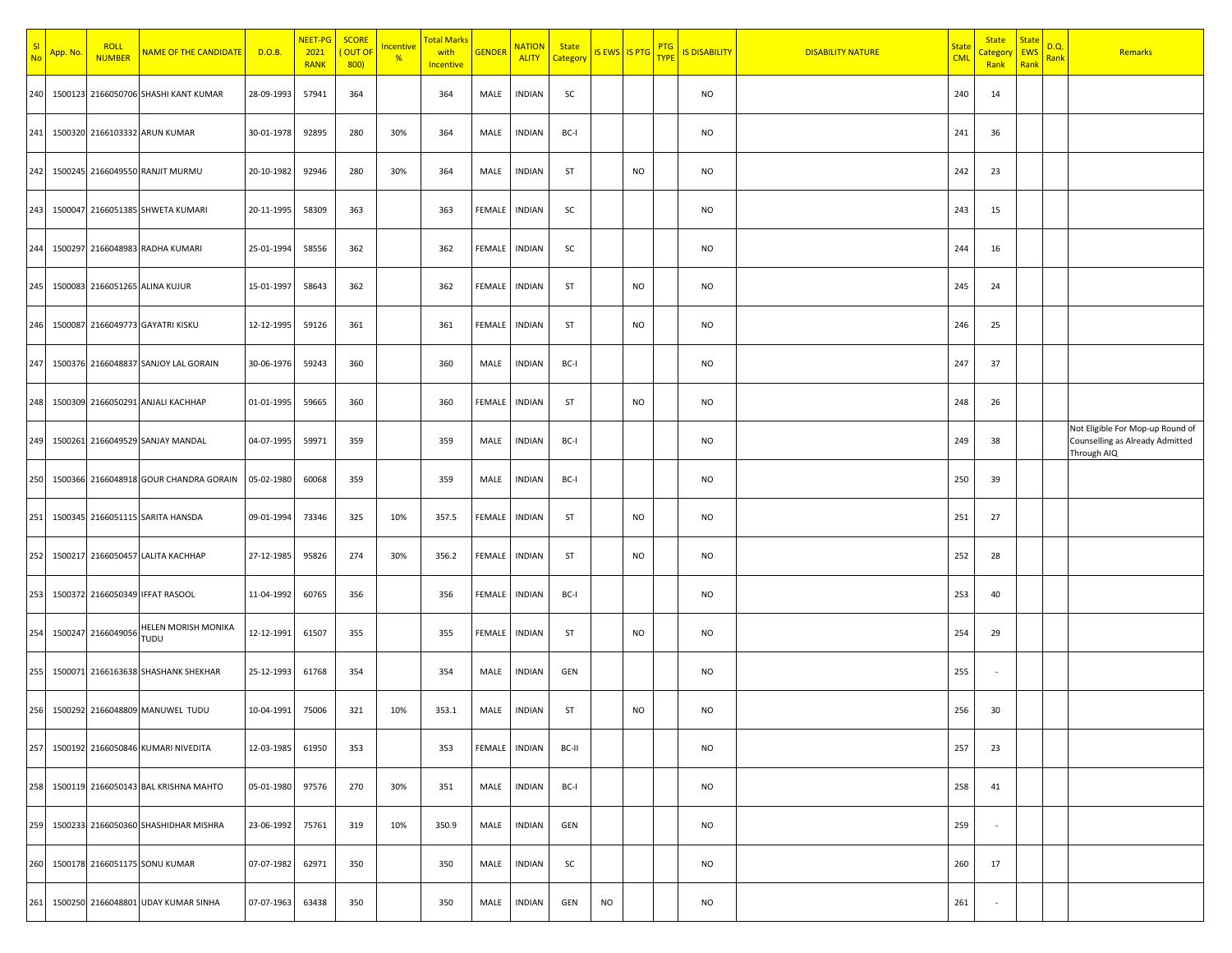| SI<br><b>No</b> | App. No. | <b>ROLL</b><br><b>NUMBER</b> | <b>NAME OF THE CANDIDATE</b>            | D.O.B.     | NEET-PG<br>2021<br><b>RANK</b> | <b>SCORE</b><br>OUT OF<br>800) | <b>ncentive</b><br>$\frac{9}{6}$ | <mark>Total Marks</mark><br>with<br><b>Incentive</b> | <b>GENDER</b> | <b>NATION</b><br><b>ALITY</b> | <b>State</b><br>Categon |           | <b>IS EWS IS PTG</b> | <b>PTG</b><br><b>TYPE</b> | <b>IS DISABILITY</b> | <b>DISABILITY NATURE</b> | State<br><b>CML</b> | <b>State</b><br><mark>Categor</mark><br>Rank | <b>State</b><br><b>EWS</b><br>Rank | D.Q.<br>Rank | Remarks                                                                            |
|-----------------|----------|------------------------------|-----------------------------------------|------------|--------------------------------|--------------------------------|----------------------------------|------------------------------------------------------|---------------|-------------------------------|-------------------------|-----------|----------------------|---------------------------|----------------------|--------------------------|---------------------|----------------------------------------------|------------------------------------|--------------|------------------------------------------------------------------------------------|
| 240             |          |                              | 1500123 2166050706 SHASHI KANT KUMAR    | 28-09-1993 | 57941                          | 364                            |                                  | 364                                                  | MALE          | <b>INDIAN</b>                 | SC                      |           |                      |                           | <b>NO</b>            |                          | 240                 | 14                                           |                                    |              |                                                                                    |
| 241             |          |                              | 1500320 2166103332 ARUN KUMAR           | 30-01-1978 | 92895                          | 280                            | 30%                              | 364                                                  | MALE          | <b>INDIAN</b>                 | BC-I                    |           |                      |                           | <b>NO</b>            |                          | 241                 | 36                                           |                                    |              |                                                                                    |
| 242             |          |                              | 1500245 2166049550 RANJIT MURMU         | 20-10-1982 | 92946                          | 280                            | 30%                              | 364                                                  | MALE          | INDIAN                        | ST                      |           | <b>NO</b>            |                           | <b>NO</b>            |                          | 242                 | 23                                           |                                    |              |                                                                                    |
| 243             |          |                              | 1500047 2166051385 SHWETA KUMARI        | 20-11-1995 | 58309                          | 363                            |                                  | 363                                                  | FEMALE        | INDIAN                        | SC                      |           |                      |                           | <b>NO</b>            |                          | 243                 | 15                                           |                                    |              |                                                                                    |
| 244             |          |                              | 1500297 2166048983 RADHA KUMARI         | 25-01-1994 | 58556                          | 362                            |                                  | 362                                                  | FEMALE        | INDIAN                        | SC                      |           |                      |                           | NO                   |                          | 244                 | 16                                           |                                    |              |                                                                                    |
| 245             |          |                              | 1500083 2166051265 ALINA KUJUR          | 15-01-1997 | 58643                          | 362                            |                                  | 362                                                  | FEMALE        | INDIAN                        | ST                      |           | <b>NO</b>            |                           | <b>NO</b>            |                          | 245                 | 24                                           |                                    |              |                                                                                    |
| 246             |          |                              | 1500087 2166049773 GAYATRI KISKU        | 12-12-1995 | 59126                          | 361                            |                                  | 361                                                  | FEMALE        | <b>INDIAN</b>                 | ST                      |           | <b>NO</b>            |                           | <b>NO</b>            |                          | 246                 | 25                                           |                                    |              |                                                                                    |
| 247             |          |                              | 1500376 2166048837 SANJOY LAL GORAIN    | 30-06-1976 | 59243                          | 360                            |                                  | 360                                                  | MALE          | <b>INDIAN</b>                 | BC-I                    |           |                      |                           | NO                   |                          | 247                 | 37                                           |                                    |              |                                                                                    |
| 248             |          |                              | 1500309 2166050291 ANJALI KACHHAP       | 01-01-1995 | 59665                          | 360                            |                                  | 360                                                  | FEMALE        | <b>INDIAN</b>                 | ST                      |           | <b>NO</b>            |                           | <b>NO</b>            |                          | 248                 | 26                                           |                                    |              |                                                                                    |
| 249             |          |                              | 1500261 2166049529 SANJAY MANDAL        | 04-07-1995 | 59971                          | 359                            |                                  | 359                                                  | MALE          | <b>INDIAN</b>                 | BC-I                    |           |                      |                           | <b>NO</b>            |                          | 249                 | 38                                           |                                    |              | Not Eligible For Mop-up Round of<br>Counselling as Already Admitted<br>Through AIQ |
| 250             |          |                              | 1500366 2166048918 GOUR CHANDRA GORAIN  | 05-02-1980 | 60068                          | 359                            |                                  | 359                                                  | MALE          | <b>INDIAN</b>                 | BC-I                    |           |                      |                           | <b>NO</b>            |                          | 250                 | 39                                           |                                    |              |                                                                                    |
| 251             |          |                              | 1500345 2166051115 SARITA HANSDA        | 09-01-1994 | 73346                          | 325                            | 10%                              | 357.5                                                | FEMALE        | INDIAN                        | ST                      |           | <b>NO</b>            |                           | NO                   |                          | 251                 | 27                                           |                                    |              |                                                                                    |
| 252             |          |                              | 1500217 2166050457 LALITA KACHHAP       | 27-12-1985 | 95826                          | 274                            | 30%                              | 356.2                                                | FEMALE        | <b>INDIAN</b>                 | ST                      |           | <b>NO</b>            |                           | <b>NO</b>            |                          | 252                 | 28                                           |                                    |              |                                                                                    |
| 253             |          |                              | 1500372 2166050349 IFFAT RASOOL         | 11-04-1992 | 60765                          | 356                            |                                  | 356                                                  | FEMALE        | <b>INDIAN</b>                 | BC-I                    |           |                      |                           | <b>NO</b>            |                          | 253                 | 40                                           |                                    |              |                                                                                    |
| 254             |          | 1500247 2166049056           | <b>IELEN MORISH MONIKA</b><br>TUDU      | 12-12-1991 | 61507                          | 355                            |                                  | 355                                                  | FEMALE        | INDIAN                        | ST                      |           | <b>NO</b>            |                           | <b>NO</b>            |                          | 254                 | 29                                           |                                    |              |                                                                                    |
| 255             |          |                              | 1500071 2166163638 SHASHANK SHEKHAR     | 25-12-1993 | 61768                          | 354                            |                                  | 354                                                  | MALE          | INDIAN                        | GEN                     |           |                      |                           | <b>NO</b>            |                          | 255                 |                                              |                                    |              |                                                                                    |
| 256             |          |                              | 1500292 2166048809 MANUWEL TUDU         | 10-04-1991 | 75006                          | 321                            | 10%                              | 353.1                                                | MALE          | INDIAN                        | ST                      |           | NO                   |                           | NO                   |                          | 256                 | 30                                           |                                    |              |                                                                                    |
| 257             |          |                              | 1500192 2166050846 KUMARI NIVEDITA      | 12-03-1985 | 61950                          | 353                            |                                  | 353                                                  | FEMALE        | <b>INDIAN</b>                 | BC-II                   |           |                      |                           | <b>NO</b>            |                          | 257                 | 23                                           |                                    |              |                                                                                    |
| 258             |          |                              | 1500119 2166050143 BAL KRISHNA MAHTO    | 05-01-1980 | 97576                          | 270                            | 30%                              | 351                                                  | MALE          | <b>INDIAN</b>                 | BC-I                    |           |                      |                           | NO                   |                          | 258                 | 41                                           |                                    |              |                                                                                    |
| 259             |          |                              | 1500233 2166050360 SHASHIDHAR MISHRA    | 23-06-1992 | 75761                          | 319                            | 10%                              | 350.9                                                | MALE          | INDIAN                        | GEN                     |           |                      |                           | <b>NO</b>            |                          | 259                 | $\overline{\phantom{a}}$                     |                                    |              |                                                                                    |
|                 |          |                              | 260 1500178 2166051175 SONU KUMAR       | 07-07-1982 | 62971                          | 350                            |                                  | 350                                                  | MALE          | INDIAN                        | SC                      |           |                      |                           | NO                   |                          | 260                 | 17                                           |                                    |              |                                                                                    |
|                 |          |                              | 261 1500250 2166048801 UDAY KUMAR SINHA | 07-07-1963 | 63438                          | 350                            |                                  | 350                                                  | MALE          | INDIAN                        | GEN                     | <b>NO</b> |                      |                           | NO                   |                          | 261                 | $\overline{\phantom{a}}$                     |                                    |              |                                                                                    |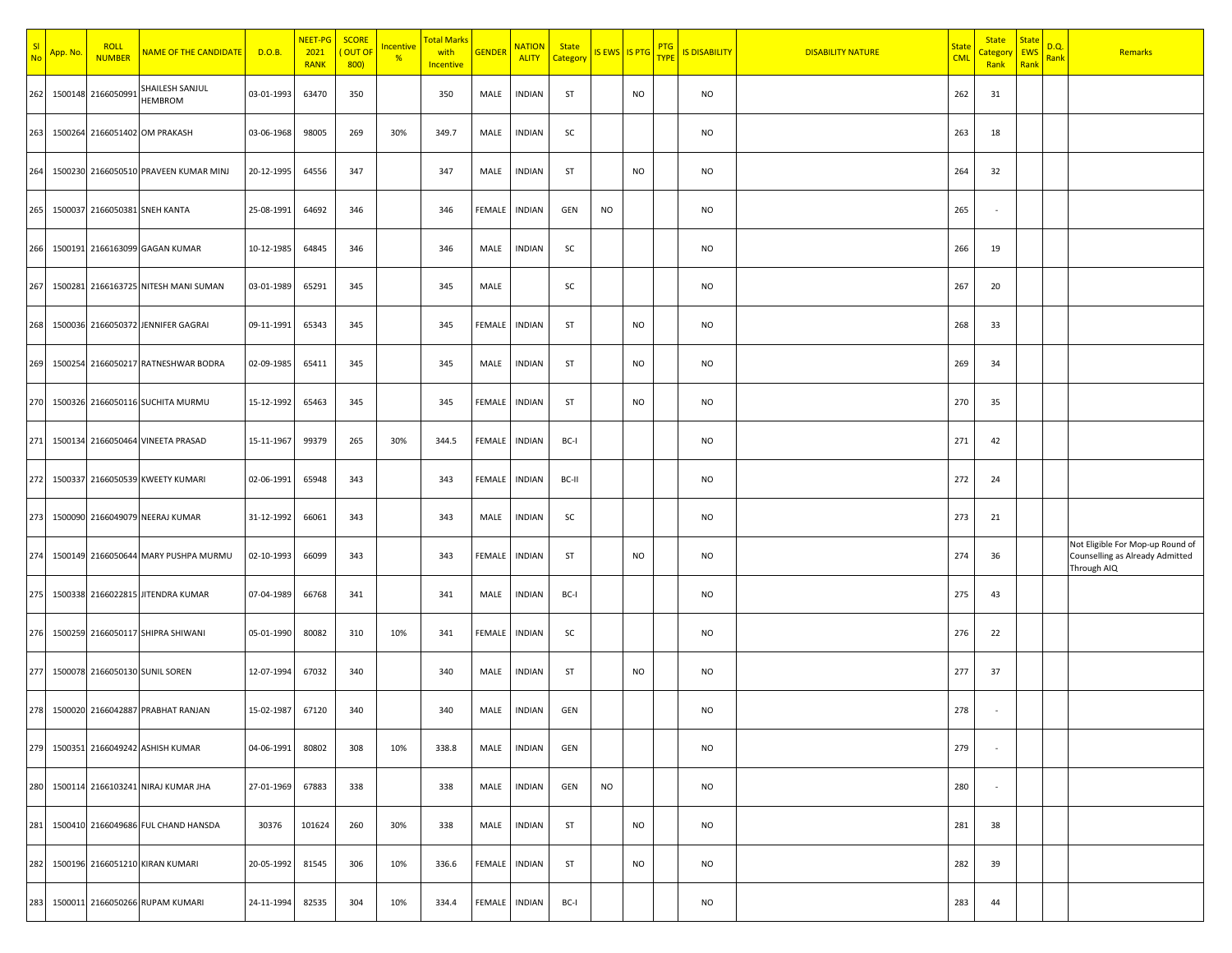| S <sub>l</sub><br><b>No</b> | App. No | <b>ROLL</b><br><b>NUMBER</b> | <b>NAME OF THE CANDIDATE</b>          | D.O.B.     | NEET-PG<br>2021<br><b>RANK</b> | <b>SCORE</b><br>OUT OF<br>800 | <u>Incentive</u><br>$\frac{9}{6}$ | <mark>Total Marks</mark><br>with<br><b>Incentive</b> | <b>GENDER</b> | <b>NATION</b><br><b>ALITY</b> | <b>State</b><br>Category | <b>IS EWS IS PTG</b> |           | <b>PTG</b><br><b>TYPE</b> | <b>IS DISABILITY</b> | <b>DISABILITY NATURE</b> | <u>State</u><br><b>CML</b> | <b>State</b><br><mark>Categor</mark><br>Rank | <b>State</b><br><b>EWS</b><br>Rank | D.Q.<br><mark>Rank</mark> | Remarks                                                                            |
|-----------------------------|---------|------------------------------|---------------------------------------|------------|--------------------------------|-------------------------------|-----------------------------------|------------------------------------------------------|---------------|-------------------------------|--------------------------|----------------------|-----------|---------------------------|----------------------|--------------------------|----------------------------|----------------------------------------------|------------------------------------|---------------------------|------------------------------------------------------------------------------------|
| 262                         |         | 1500148 2166050991           | SHAILESH SANJUL<br><b>HEMBROM</b>     | 03-01-1993 | 63470                          | 350                           |                                   | 350                                                  | MALE          | <b>INDIAN</b>                 | ST                       |                      | <b>NO</b> |                           | NO                   |                          | 262                        | 31                                           |                                    |                           |                                                                                    |
| 263                         |         |                              | 1500264 2166051402 OM PRAKASH         | 03-06-1968 | 98005                          | 269                           | 30%                               | 349.7                                                | MALE          | <b>INDIAN</b>                 | SC                       |                      |           |                           | NO                   |                          | 263                        | 18                                           |                                    |                           |                                                                                    |
| 264                         |         |                              | 1500230 2166050510 PRAVEEN KUMAR MINJ | 20-12-1995 | 64556                          | 347                           |                                   | 347                                                  | MALE          | <b>INDIAN</b>                 | ST                       |                      | <b>NO</b> |                           | NO                   |                          | 264                        | 32                                           |                                    |                           |                                                                                    |
| 265                         |         |                              | 1500037 2166050381 SNEH KANTA         | 25-08-1991 | 64692                          | 346                           |                                   | 346                                                  | FEMALE        | INDIAN                        | GEN                      | <b>NO</b>            |           |                           | NO                   |                          | 265                        | ٠.                                           |                                    |                           |                                                                                    |
|                             |         |                              | 266 1500191 2166163099 GAGAN KUMAR    | 10-12-1985 | 64845                          | 346                           |                                   | 346                                                  | MALE          | INDIAN                        | SC                       |                      |           |                           | NO                   |                          | 266                        | 19                                           |                                    |                           |                                                                                    |
| 267                         |         |                              | 1500281 2166163725 NITESH MANI SUMAN  | 03-01-1989 | 65291                          | 345                           |                                   | 345                                                  | MALE          |                               | SC                       |                      |           |                           | <b>NO</b>            |                          | 267                        | 20                                           |                                    |                           |                                                                                    |
| 268                         |         |                              | 1500036 2166050372 JENNIFER GAGRAI    | 09-11-1991 | 65343                          | 345                           |                                   | 345                                                  | FEMALE        | <b>INDIAN</b>                 | ST                       |                      | <b>NO</b> |                           | NO                   |                          | 268                        | 33                                           |                                    |                           |                                                                                    |
| 269                         |         |                              | 1500254 2166050217 RATNESHWAR BODRA   | 02-09-1985 | 65411                          | 345                           |                                   | 345                                                  | MALE          | <b>INDIAN</b>                 | ST                       |                      | <b>NO</b> |                           | NO                   |                          | 269                        | 34                                           |                                    |                           |                                                                                    |
| 270                         |         |                              | 1500326 2166050116 SUCHITA MURMU      | 15-12-1992 | 65463                          | 345                           |                                   | 345                                                  | FEMALE        | <b>INDIAN</b>                 | ST                       |                      | <b>NO</b> |                           | NO                   |                          | 270                        | 35                                           |                                    |                           |                                                                                    |
| 271                         |         |                              | 1500134 2166050464 VINEETA PRASAD     | 15-11-1967 | 99379                          | 265                           | 30%                               | 344.5                                                | FEMALE        | <b>INDIAN</b>                 | BC-I                     |                      |           |                           | NO                   |                          | 271                        | 42                                           |                                    |                           |                                                                                    |
| 272                         |         |                              | 1500337 2166050539 KWEETY KUMARI      | 02-06-1991 | 65948                          | 343                           |                                   | 343                                                  | FEMALE        | <b>INDIAN</b>                 | BC-II                    |                      |           |                           | NO                   |                          | 272                        | 24                                           |                                    |                           |                                                                                    |
| 273                         |         |                              | 1500090 2166049079 NEERAJ KUMAR       | 31-12-1992 | 66061                          | 343                           |                                   | 343                                                  | MALE          | <b>INDIAN</b>                 | SC                       |                      |           |                           | NO                   |                          | 273                        | 21                                           |                                    |                           |                                                                                    |
| 274                         |         |                              | 1500149 2166050644 MARY PUSHPA MURMU  | 02-10-1993 | 66099                          | 343                           |                                   | 343                                                  | FEMALE        | <b>INDIAN</b>                 | ST                       |                      | <b>NO</b> |                           | NO                   |                          | 274                        | 36                                           |                                    |                           | Not Eligible For Mop-up Round of<br>Counselling as Already Admitted<br>Through AIQ |
| 275                         |         |                              | 1500338 2166022815 JITENDRA KUMAR     | 07-04-1989 | 66768                          | 341                           |                                   | 341                                                  | MALE          | <b>INDIAN</b>                 | BC-I                     |                      |           |                           | NO                   |                          | 275                        | 43                                           |                                    |                           |                                                                                    |
| 276                         |         |                              | 1500259 2166050117 SHIPRA SHIWANI     | 05-01-1990 | 80082                          | 310                           | 10%                               | 341                                                  | FEMALE        | <b>INDIAN</b>                 | SC                       |                      |           |                           | NO                   |                          | 276                        | 22                                           |                                    |                           |                                                                                    |
| 277                         |         |                              | 1500078 2166050130 SUNIL SOREN        | 12-07-1994 | 67032                          | 340                           |                                   | 340                                                  | MALE          | INDIAN                        | ST                       |                      | <b>NO</b> |                           | NO                   |                          | 277                        | 37                                           |                                    |                           |                                                                                    |
|                             |         |                              | 278 1500020 2166042887 PRABHAT RANJAN | 15-02-1987 | 67120                          | 340                           |                                   | 340                                                  | MALE          | <b>INDIAN</b>                 | GEN                      |                      |           |                           | NO                   |                          | 278                        |                                              |                                    |                           |                                                                                    |
|                             |         |                              | 279 1500351 2166049242 ASHISH KUMAR   | 04-06-1991 | 80802                          | 308                           | 10%                               | 338.8                                                | MALE          | <b>INDIAN</b>                 | GEN                      |                      |           |                           | <b>NO</b>            |                          | 279                        |                                              |                                    |                           |                                                                                    |
| 280                         |         |                              | 1500114 2166103241 NIRAJ KUMAR JHA    | 27-01-1969 | 67883                          | 338                           |                                   | 338                                                  | MALE          | <b>INDIAN</b>                 | GEN                      | <b>NO</b>            |           |                           | NO                   |                          | 280                        | $\sim$                                       |                                    |                           |                                                                                    |
| 281                         |         |                              | 1500410 2166049686 FUL CHAND HANSDA   | 30376      | 101624                         | 260                           | 30%                               | 338                                                  | MALE          | <b>INDIAN</b>                 | ST                       |                      | <b>NO</b> |                           | <b>NO</b>            |                          | 281                        | 38                                           |                                    |                           |                                                                                    |
|                             |         |                              | 282 1500196 2166051210 KIRAN KUMARI   | 20-05-1992 | 81545                          | 306                           | 10%                               | 336.6                                                | FEMALE        | INDIAN                        | ST                       |                      | <b>NO</b> |                           | NO                   |                          | 282                        | 39                                           |                                    |                           |                                                                                    |
|                             |         |                              | 283 1500011 2166050266 RUPAM KUMARI   | 24-11-1994 | 82535                          | 304                           | 10%                               | 334.4                                                | FEMALE        | <b>INDIAN</b>                 | BC-I                     |                      |           |                           | <b>NO</b>            |                          | 283                        | 44                                           |                                    |                           |                                                                                    |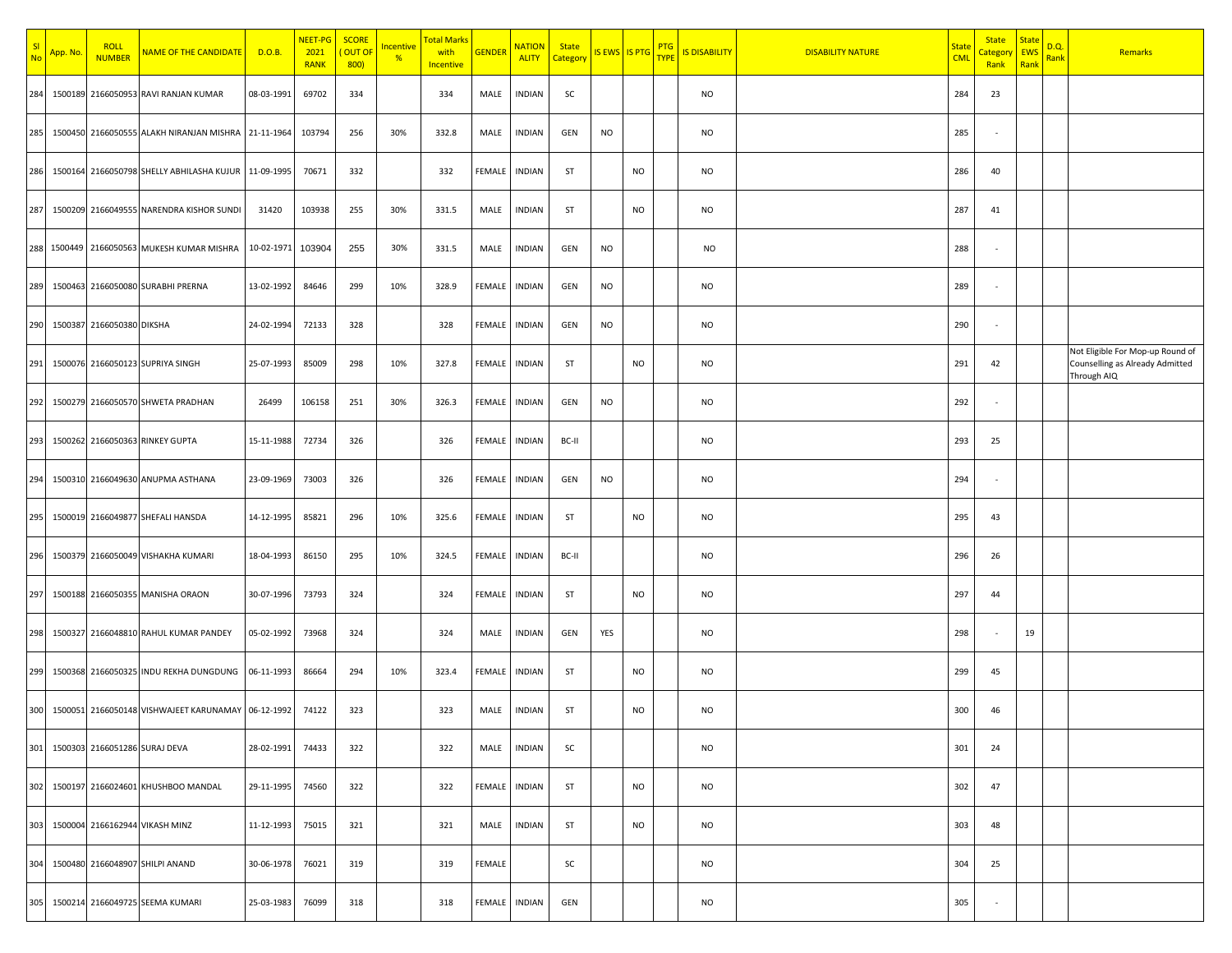| <b>SI</b><br><b>No</b> | App. No. | <b>ROLL</b><br><b>NUMBER</b> | <b>NAME OF THE CANDIDATE</b>                        | D.O.B.     | <mark>NEET-PG</mark><br>2021<br><b>RANK</b> | <b>SCORE</b><br>OUT OF<br>800) | <u>Incentive</u><br>$\frac{9}{6}$ | <mark>Total Marks</mark><br>with<br><b>Incentive</b> | <b>GENDER</b> | <b>NATION</b><br><b>ALITY</b> | <b>State</b><br>Categon |           | IS EWS IS PTG | <b>PTG</b><br><b>TYPE</b> | <b>IS DISABILITY</b> | <b>DISABILITY NATURE</b> | State<br><b>CML</b> | <b>State</b><br><mark>Categor</mark><br>Rank | <b>State</b><br><b>EWS</b><br>Rank | <u>D.Q.</u><br><b>Rank</b> | Remarks                                                                            |
|------------------------|----------|------------------------------|-----------------------------------------------------|------------|---------------------------------------------|--------------------------------|-----------------------------------|------------------------------------------------------|---------------|-------------------------------|-------------------------|-----------|---------------|---------------------------|----------------------|--------------------------|---------------------|----------------------------------------------|------------------------------------|----------------------------|------------------------------------------------------------------------------------|
| 284                    |          |                              | 1500189 2166050953 RAVI RANJAN KUMAR                | 08-03-1991 | 69702                                       | 334                            |                                   | 334                                                  | MALE          | <b>INDIAN</b>                 | SC                      |           |               |                           | <b>NO</b>            |                          | 284                 | 23                                           |                                    |                            |                                                                                    |
| 285                    |          |                              | 1500450 2166050555 ALAKH NIRANJAN MISHRA 21-11-1964 |            | 103794                                      | 256                            | 30%                               | 332.8                                                | MALE          | <b>INDIAN</b>                 | GEN                     | <b>NO</b> |               |                           | <b>NO</b>            |                          | 285                 | $\overline{\phantom{a}}$                     |                                    |                            |                                                                                    |
| 286                    |          |                              | 1500164 2166050798 SHELLY ABHILASHA KUJUR           | 11-09-1995 | 70671                                       | 332                            |                                   | 332                                                  | FEMALE        | INDIAN                        | ST                      |           | <b>NO</b>     |                           | <b>NO</b>            |                          | 286                 | 40                                           |                                    |                            |                                                                                    |
| 287                    |          |                              | 1500209 2166049555 NARENDRA KISHOR SUNDI            | 31420      | 103938                                      | 255                            | 30%                               | 331.5                                                | MALE          | INDIAN                        | ST                      |           | <b>NO</b>     |                           | <b>NO</b>            |                          | 287                 | 41                                           |                                    |                            |                                                                                    |
|                        |          |                              | 288 1500449 2166050563 MUKESH KUMAR MISHRA          | 10-02-1971 | 103904                                      | 255                            | 30%                               | 331.5                                                | MALE          | INDIAN                        | GEN                     | <b>NO</b> |               |                           | NO                   |                          | 288                 |                                              |                                    |                            |                                                                                    |
| 289                    |          |                              | 1500463 2166050080 SURABHI PRERNA                   | 13-02-1992 | 84646                                       | 299                            | 10%                               | 328.9                                                | FEMALE        | INDIAN                        | GEN                     | <b>NO</b> |               |                           | <b>NO</b>            |                          | 289                 |                                              |                                    |                            |                                                                                    |
| 290                    |          | 1500387 2166050380 DIKSHA    |                                                     | 24-02-1994 | 72133                                       | 328                            |                                   | 328                                                  | <b>FEMALE</b> | <b>INDIAN</b>                 | GEN                     | <b>NO</b> |               |                           | <b>NO</b>            |                          | 290                 | $\overline{\phantom{a}}$                     |                                    |                            |                                                                                    |
| 291                    |          |                              | 1500076 2166050123 SUPRIYA SINGH                    | 25-07-1993 | 85009                                       | 298                            | 10%                               | 327.8                                                | FEMALE        | <b>INDIAN</b>                 | ST                      |           | <b>NO</b>     |                           | NO                   |                          | 291                 | 42                                           |                                    |                            | Not Eligible For Mop-up Round of<br>Counselling as Already Admitted<br>Through AIQ |
| 292                    |          |                              | 1500279 2166050570 SHWETA PRADHAN                   | 26499      | 106158                                      | 251                            | 30%                               | 326.3                                                | FEMALE        | <b>INDIAN</b>                 | GEN                     | <b>NO</b> |               |                           | <b>NO</b>            |                          | 292                 |                                              |                                    |                            |                                                                                    |
| 293                    |          |                              | 1500262 2166050363 RINKEY GUPTA                     | 15-11-1988 | 72734                                       | 326                            |                                   | 326                                                  | FEMALE        | <b>INDIAN</b>                 | BC-II                   |           |               |                           | <b>NO</b>            |                          | 293                 | 25                                           |                                    |                            |                                                                                    |
| 294                    |          |                              | 1500310 2166049630 ANUPMA ASTHANA                   | 23-09-1969 | 73003                                       | 326                            |                                   | 326                                                  | FEMALE        | <b>INDIAN</b>                 | GEN                     | <b>NO</b> |               |                           | <b>NO</b>            |                          | 294                 |                                              |                                    |                            |                                                                                    |
| 295                    |          |                              | 1500019 2166049877 SHEFALI HANSDA                   | 14-12-1995 | 85821                                       | 296                            | 10%                               | 325.6                                                | FEMALE        | INDIAN                        | ST                      |           | <b>NO</b>     |                           | NO                   |                          | 295                 | 43                                           |                                    |                            |                                                                                    |
| 296                    |          |                              | 1500379 2166050049 VISHAKHA KUMARI                  | 18-04-1993 | 86150                                       | 295                            | 10%                               | 324.5                                                | FEMALE        | <b>INDIAN</b>                 | BC-II                   |           |               |                           | <b>NO</b>            |                          | 296                 | 26                                           |                                    |                            |                                                                                    |
| 297                    |          |                              | 1500188 2166050355 MANISHA ORAON                    | 30-07-1996 | 73793                                       | 324                            |                                   | 324                                                  | FEMALE        | <b>INDIAN</b>                 | ST                      |           | <b>NO</b>     |                           | <b>NO</b>            |                          | 297                 | 44                                           |                                    |                            |                                                                                    |
| 298                    |          |                              | 1500327 2166048810 RAHUL KUMAR PANDEY               | 05-02-1992 | 73968                                       | 324                            |                                   | 324                                                  | MALE          | INDIAN                        | GEN                     | YES       |               |                           | NO                   |                          | 298                 | $\overline{\phantom{a}}$                     | 19                                 |                            |                                                                                    |
| 299                    |          |                              | 1500368 2166050325 INDU REKHA DUNGDUNG              | 06-11-1993 | 86664                                       | 294                            | 10%                               | 323.4                                                | FEMALE        | <b>INDIAN</b>                 | ST                      |           | <b>NO</b>     |                           | <b>NO</b>            |                          | 299                 | 45                                           |                                    |                            |                                                                                    |
| 300                    |          |                              | 1500051 2166050148 VISHWAJEET KARUNAMAY 06-12-1992  |            | 74122                                       | 323                            |                                   | 323                                                  | MALE          | INDIAN                        | ST                      |           | NO            |                           | NO                   |                          | 300                 | 46                                           |                                    |                            |                                                                                    |
| 301                    |          |                              | 1500303 2166051286 SURAJ DEVA                       | 28-02-1991 | 74433                                       | 322                            |                                   | 322                                                  | MALE          | <b>INDIAN</b>                 | SC                      |           |               |                           | <b>NO</b>            |                          | 301                 | 24                                           |                                    |                            |                                                                                    |
| 302                    |          |                              | 1500197 2166024601 KHUSHBOO MANDAL                  | 29-11-1995 | 74560                                       | 322                            |                                   | 322                                                  | FEMALE        | <b>INDIAN</b>                 | ST                      |           | <b>NO</b>     |                           | NO                   |                          | 302                 | 47                                           |                                    |                            |                                                                                    |
| 303                    |          |                              | 1500004 2166162944 VIKASH MINZ                      | 11-12-1993 | 75015                                       | 321                            |                                   | 321                                                  | MALE          | INDIAN                        | ST                      |           | <b>NO</b>     |                           | <b>NO</b>            |                          | 303                 | 48                                           |                                    |                            |                                                                                    |
|                        |          |                              | 304 1500480 2166048907 SHILPI ANAND                 | 30-06-1978 | 76021                                       | 319                            |                                   | 319                                                  | FEMALE        |                               | SC                      |           |               |                           | NO                   |                          | 304                 | 25                                           |                                    |                            |                                                                                    |
|                        |          |                              | 305 1500214 2166049725 SEEMA KUMARI                 | 25-03-1983 | 76099                                       | 318                            |                                   | 318                                                  | FEMALE        | INDIAN                        | GEN                     |           |               |                           | NO                   |                          | 305                 | $\sim$                                       |                                    |                            |                                                                                    |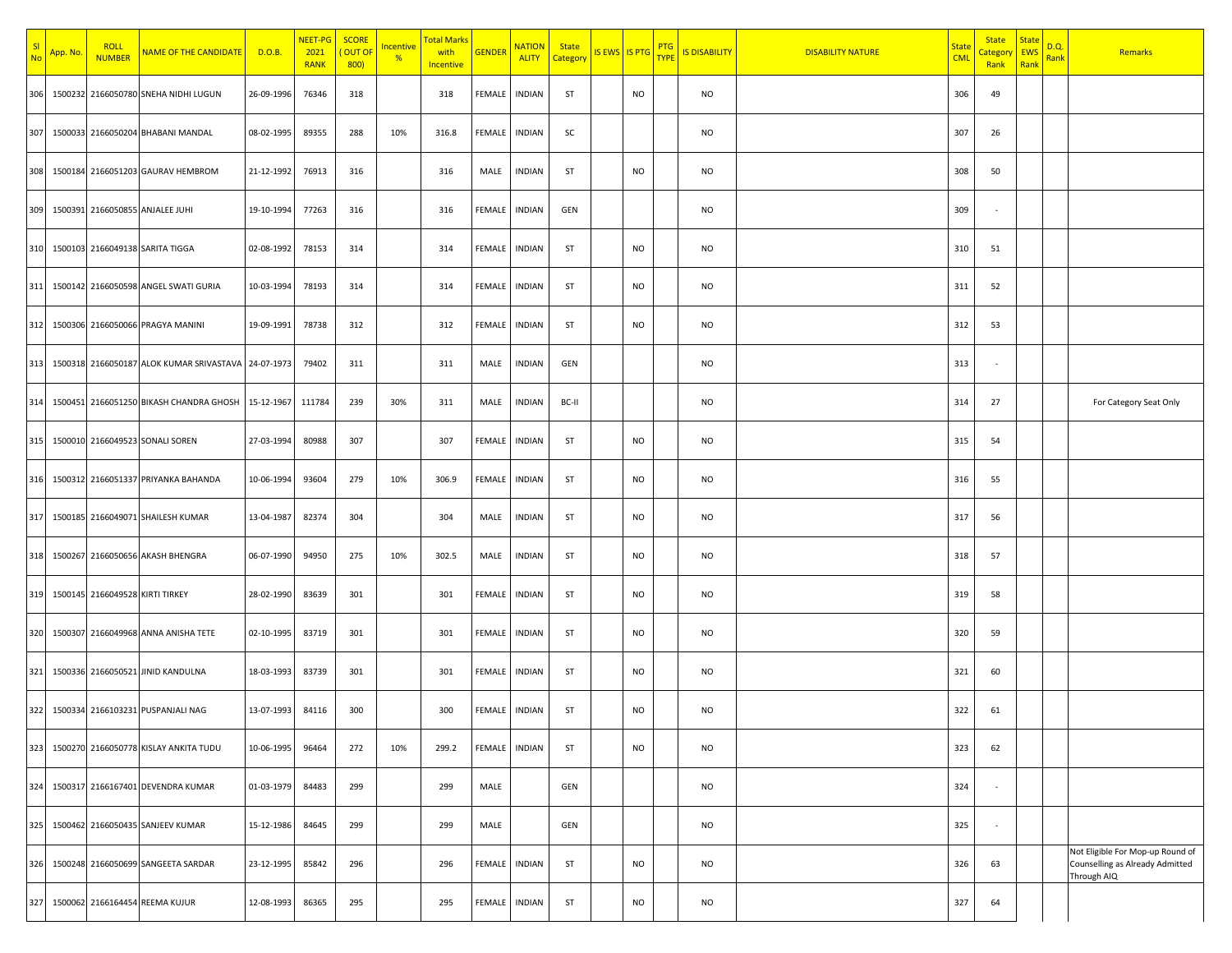| SI<br>No | App. No. | <b>ROLL</b><br><b>NUMBER</b>    | <b>NAME OF THE CANDIDATE</b>                            | D.O.B.     | NEET-PG<br>2021<br><b>RANK</b> | <b>SCORE</b><br><mark>( Out of</mark><br>800 | <b>Incentive</b><br>$\frac{9}{6}$ | <mark>Total Marks</mark><br>with<br><b>Incentive</b> | <b>GENDER</b> | <b>NATION</b><br><b>ALITY</b> | <b>State</b><br>Category | IS EWS IS PTG |           | <b>PTG</b><br><b>TYPE</b> | <b>IS DISABILITY</b> | <b>DISABILITY NATURE</b> | <u>State</u><br><b>CML</b> | <b>State</b><br><mark>Categor</mark><br>Rank | <b>State</b><br><b>EWS</b><br>Rank | D.Q.<br><b>Rank</b> | Remarks                                                                            |
|----------|----------|---------------------------------|---------------------------------------------------------|------------|--------------------------------|----------------------------------------------|-----------------------------------|------------------------------------------------------|---------------|-------------------------------|--------------------------|---------------|-----------|---------------------------|----------------------|--------------------------|----------------------------|----------------------------------------------|------------------------------------|---------------------|------------------------------------------------------------------------------------|
| 306      |          |                                 | 1500232 2166050780 SNEHA NIDHI LUGUN                    | 26-09-1996 | 76346                          | 318                                          |                                   | 318                                                  | FEMALE        | INDIAN                        | ST                       |               | NO        |                           | NO                   |                          | 306                        | 49                                           |                                    |                     |                                                                                    |
| 307      |          |                                 | 1500033 2166050204 BHABANI MANDAL                       | 08-02-1995 | 89355                          | 288                                          | 10%                               | 316.8                                                | FEMALE        | <b>INDIAN</b>                 | SC                       |               |           |                           | NO                   |                          | 307                        | 26                                           |                                    |                     |                                                                                    |
| 308      |          |                                 | 1500184 2166051203 GAURAV HEMBROM                       | 21-12-1992 | 76913                          | 316                                          |                                   | 316                                                  | MALE          | INDIAN                        | ST                       |               | <b>NO</b> |                           | NO                   |                          | 308                        | 50                                           |                                    |                     |                                                                                    |
|          |          |                                 | 309 1500391 2166050855 ANJALEE JUHI                     | 19-10-1994 | 77263                          | 316                                          |                                   | 316                                                  | FEMALE        | INDIAN                        | GEN                      |               |           |                           | NO                   |                          | 309                        | $\overline{\phantom{a}}$                     |                                    |                     |                                                                                    |
|          |          |                                 | 310 1500103 2166049138 SARITA TIGGA                     | 02-08-1992 | 78153                          | 314                                          |                                   | 314                                                  | FEMALE        | INDIAN                        | ST                       |               | <b>NO</b> |                           | NO                   |                          | 310                        | 51                                           |                                    |                     |                                                                                    |
|          |          |                                 | 311 1500142 2166050598 ANGEL SWATI GURIA                | 10-03-1994 | 78193                          | 314                                          |                                   | 314                                                  | FEMALE        | <b>INDIAN</b>                 | ST                       |               | <b>NO</b> |                           | NO                   |                          | 311                        | 52                                           |                                    |                     |                                                                                    |
|          |          |                                 | 312 1500306 2166050066 PRAGYA MANINI                    | 19-09-1991 | 78738                          | 312                                          |                                   | 312                                                  | FEMALE        | INDIAN                        | ST                       |               | <b>NO</b> |                           | NO                   |                          | 312                        | 53                                           |                                    |                     |                                                                                    |
|          |          |                                 | 313 1500318 2166050187 ALOK KUMAR SRIVASTAVA 24-07-1973 |            | 79402                          | 311                                          |                                   | 311                                                  | MALE          | <b>INDIAN</b>                 | GEN                      |               |           |                           | NO                   |                          | 313                        |                                              |                                    |                     |                                                                                    |
| 314      |          |                                 | 1500451 2166051250 BIKASH CHANDRA GHOSH 15-12-1967      |            | 111784                         | 239                                          | 30%                               | 311                                                  | MALE          | <b>INDIAN</b>                 | BC-II                    |               |           |                           | NO                   |                          | 314                        | 27                                           |                                    |                     | For Category Seat Only                                                             |
| 315      |          |                                 | 1500010 2166049523 SONALI SOREN                         | 27-03-1994 | 80988                          | 307                                          |                                   | 307                                                  | FEMALE        | <b>INDIAN</b>                 | ST                       |               | <b>NO</b> |                           | NO                   |                          | 315                        | 54                                           |                                    |                     |                                                                                    |
| 316      |          |                                 | 1500312 2166051337 PRIYANKA BAHANDA                     | 10-06-1994 | 93604                          | 279                                          | 10%                               | 306.9                                                | FEMALE        | <b>INDIAN</b>                 | ST                       |               | <b>NO</b> |                           | NO                   |                          | 316                        | 55                                           |                                    |                     |                                                                                    |
| 317      |          |                                 | 1500185 2166049071 SHAILESH KUMAR                       | 13-04-1987 | 82374                          | 304                                          |                                   | 304                                                  | MALE          | INDIAN                        | ST                       |               | <b>NO</b> |                           | NO                   |                          | 317                        | 56                                           |                                    |                     |                                                                                    |
|          |          |                                 | 318 1500267 2166050656 AKASH BHENGRA                    | 06-07-1990 | 94950                          | 275                                          | 10%                               | 302.5                                                | MALE          | INDIAN                        | ST                       |               | <b>NO</b> |                           | NO                   |                          | 318                        | 57                                           |                                    |                     |                                                                                    |
| 319      |          | 1500145 2166049528 KIRTI TIRKEY |                                                         | 28-02-1990 | 83639                          | 301                                          |                                   | 301                                                  | FEMALE        | INDIAN                        | ST                       |               | <b>NO</b> |                           | NO                   |                          | 319                        | 58                                           |                                    |                     |                                                                                    |
| 320      |          |                                 | 1500307 2166049968 ANNA ANISHA TETE                     | 02-10-1995 | 83719                          | 301                                          |                                   | 301                                                  | FEMALE        | INDIAN                        | ST                       |               | <b>NO</b> |                           | NO                   |                          | 320                        | 59                                           |                                    |                     |                                                                                    |
|          |          |                                 | 321 1500336 2166050521 JINID KANDULNA                   | 18-03-1993 | 83739                          | 301                                          |                                   | 301                                                  | FEMALE        | INDIAN                        | ST                       |               | <b>NO</b> |                           | NO                   |                          | 321                        | 60                                           |                                    |                     |                                                                                    |
|          |          |                                 | 322 1500334 2166103231 PUSPANJALI NAG                   | 13-07-1993 | 84116                          | 300                                          |                                   | 300                                                  | FEMALE INDIAN |                               | ST                       |               | <b>NO</b> |                           | NO                   |                          | 322                        | 61                                           |                                    |                     |                                                                                    |
| 323      |          |                                 | 1500270 2166050778 KISLAY ANKITA TUDU                   | 10-06-1995 | 96464                          | 272                                          | 10%                               | 299.2                                                | FEMALE        | <b>INDIAN</b>                 | ST                       |               | <b>NO</b> |                           | NO                   |                          | 323                        | 62                                           |                                    |                     |                                                                                    |
| 324      |          |                                 | 1500317 2166167401 DEVENDRA KUMAR                       | 01-03-1979 | 84483                          | 299                                          |                                   | 299                                                  | MALE          |                               | GEN                      |               |           |                           | NO                   |                          | 324                        | $\overline{\phantom{a}}$                     |                                    |                     |                                                                                    |
| 325      |          |                                 | 1500462 2166050435 SANJEEV KUMAR                        | 15-12-1986 | 84645                          | 299                                          |                                   | 299                                                  | MALE          |                               | GEN                      |               |           |                           | NO                   |                          | 325                        |                                              |                                    |                     |                                                                                    |
| 326      |          |                                 | 1500248 2166050699 SANGEETA SARDAR                      | 23-12-1995 | 85842                          | 296                                          |                                   | 296                                                  | FEMALE        | <b>INDIAN</b>                 | ST                       |               | <b>NO</b> |                           | NO                   |                          | 326                        | 63                                           |                                    |                     | Not Eligible For Mop-up Round of<br>Counselling as Already Admitted<br>Through AIQ |
| 327      |          |                                 | 1500062 2166164454 REEMA KUJUR                          | 12-08-1993 | 86365                          | 295                                          |                                   | 295                                                  | FEMALE        | INDIAN                        | ST                       |               | <b>NO</b> |                           | <b>NO</b>            |                          | 327                        | 64                                           |                                    |                     |                                                                                    |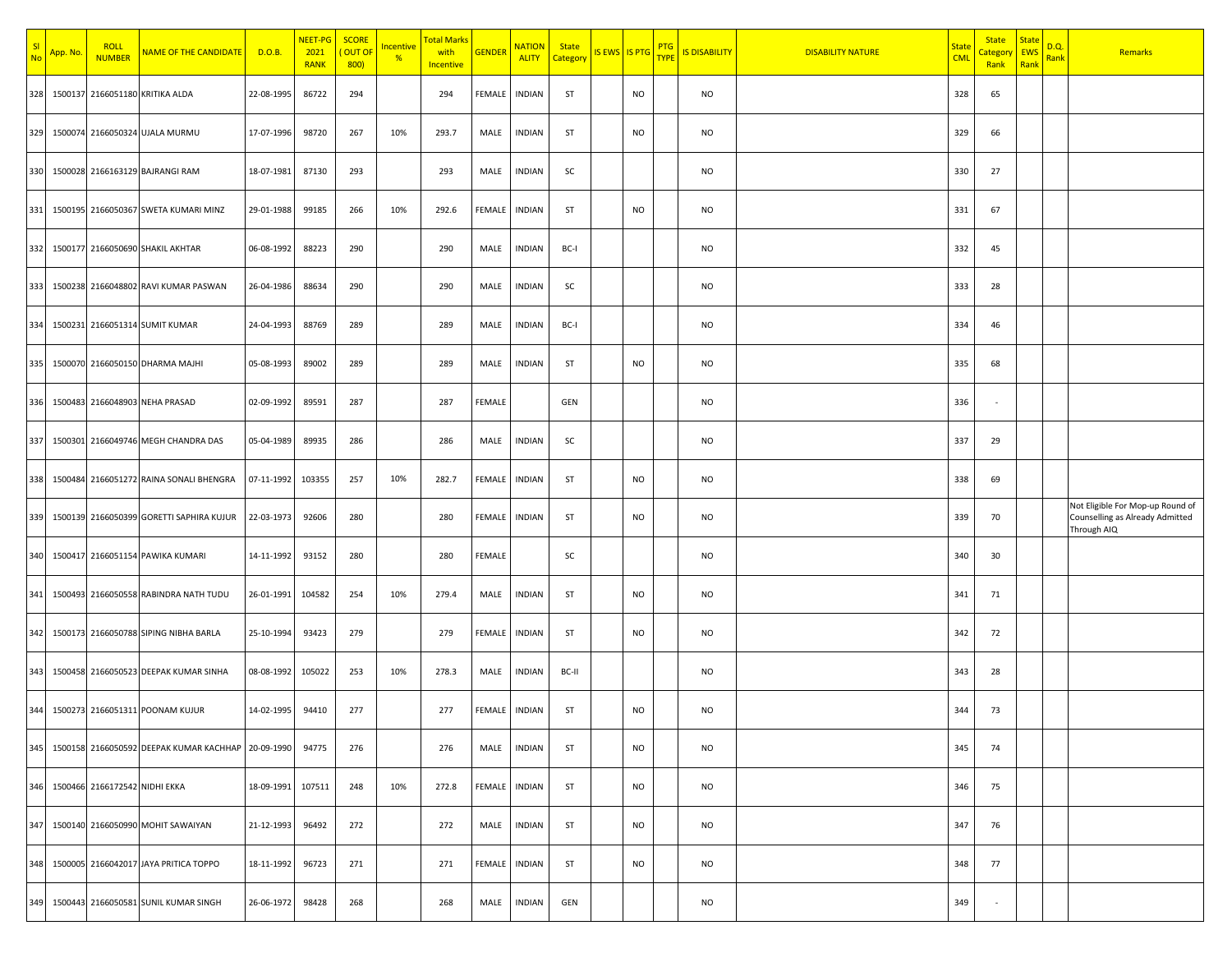| S <sub>l</sub><br><b>No</b> | App. No. | <b>ROLL</b><br><b>NUMBER</b>  | <b>NAME OF THE CANDIDATE</b>                           | D.O.B.     | NEET-PG<br>2021<br><b>RANK</b> | <b>SCORE</b><br>OUT OF<br>800 | <b>ncentive</b><br>$\frac{9}{6}$ | <mark>Total Marks</mark><br>with<br><b>Incentive</b> | <b>GENDER</b> | <b>NATION</b><br><b>ALITY</b> | <b>State</b><br>Category | IS EWS   IS PTG |           | <b>PTG</b><br><b>TYPI</b> | <b>IS DISABILITY</b> | <b>DISABILITY NATURE</b> | <u>State</u><br><b>CML</b> | <b>State</b><br><mark>Categor</mark><br>Rank | <b>State</b><br><b>EWS</b><br>Rank | D.Q.<br>Rank | Remarks                                                                            |
|-----------------------------|----------|-------------------------------|--------------------------------------------------------|------------|--------------------------------|-------------------------------|----------------------------------|------------------------------------------------------|---------------|-------------------------------|--------------------------|-----------------|-----------|---------------------------|----------------------|--------------------------|----------------------------|----------------------------------------------|------------------------------------|--------------|------------------------------------------------------------------------------------|
| 328                         |          |                               | 1500137 2166051180 KRITIKA ALDA                        | 22-08-1995 | 86722                          | 294                           |                                  | 294                                                  | FEMALE        | INDIAN                        | ST                       |                 | NO        |                           | NO                   |                          | 328                        | 65                                           |                                    |              |                                                                                    |
| 329                         |          |                               | 1500074 2166050324 UJALA MURMU                         | 17-07-1996 | 98720                          | 267                           | 10%                              | 293.7                                                | MALE          | <b>INDIAN</b>                 | ST                       |                 | <b>NO</b> |                           | <b>NO</b>            |                          | 329                        | 66                                           |                                    |              |                                                                                    |
| 330                         |          |                               | 1500028 2166163129 BAJRANGI RAM                        | 18-07-1981 | 87130                          | 293                           |                                  | 293                                                  | MALE          | <b>INDIAN</b>                 | SC                       |                 |           |                           | <b>NO</b>            |                          | 330                        | 27                                           |                                    |              |                                                                                    |
| 331                         |          |                               | 1500195 2166050367 SWETA KUMARI MINZ                   | 29-01-1988 | 99185                          | 266                           | 10%                              | 292.6                                                | FEMALE        | INDIAN                        | ST                       |                 | <b>NO</b> |                           | <b>NO</b>            |                          | 331                        | 67                                           |                                    |              |                                                                                    |
|                             |          |                               | 332 1500177 2166050690 SHAKIL AKHTAR                   | 06-08-1992 | 88223                          | 290                           |                                  | 290                                                  | MALE          | INDIAN                        | BC-I                     |                 |           |                           | NO                   |                          | 332                        | 45                                           |                                    |              |                                                                                    |
| 333                         |          |                               | 1500238 2166048802 RAVI KUMAR PASWAN                   | 26-04-1986 | 88634                          | 290                           |                                  | 290                                                  | MALE          | <b>INDIAN</b>                 | SC                       |                 |           |                           | <b>NO</b>            |                          | 333                        | 28                                           |                                    |              |                                                                                    |
| 334                         |          |                               | 1500231 2166051314 SUMIT KUMAR                         | 24-04-1993 | 88769                          | 289                           |                                  | 289                                                  | MALE          | <b>INDIAN</b>                 | BC-I                     |                 |           |                           | NO                   |                          | 334                        | 46                                           |                                    |              |                                                                                    |
| 335                         |          |                               | 1500070 2166050150 DHARMA MAJHI                        | 05-08-1993 | 89002                          | 289                           |                                  | 289                                                  | MALE          | <b>INDIAN</b>                 | ST                       |                 | <b>NO</b> |                           | <b>NO</b>            |                          | 335                        | 68                                           |                                    |              |                                                                                    |
| 336                         |          |                               | 1500483 2166048903 NEHA PRASAD                         | 02-09-1992 | 89591                          | 287                           |                                  | 287                                                  | FEMALE        |                               | GEN                      |                 |           |                           | NO                   |                          | 336                        |                                              |                                    |              |                                                                                    |
| 337                         |          |                               | 1500301 2166049746 MEGH CHANDRA DAS                    | 05-04-1989 | 89935                          | 286                           |                                  | 286                                                  | MALE          | <b>INDIAN</b>                 | SC                       |                 |           |                           | <b>NO</b>            |                          | 337                        | 29                                           |                                    |              |                                                                                    |
| 338                         |          |                               | 1500484 2166051272 RAINA SONALI BHENGRA                | 07-11-1992 | 103355                         | 257                           | 10%                              | 282.7                                                | FEMALE        | <b>INDIAN</b>                 | ST                       |                 | NO        |                           | NO                   |                          | 338                        | 69                                           |                                    |              |                                                                                    |
| 339                         |          |                               | 1500139 2166050399 GORETTI SAPHIRA KUJUR               | 22-03-1973 | 92606                          | 280                           |                                  | 280                                                  | FEMALE        | <b>INDIAN</b>                 | ST                       |                 | <b>NO</b> |                           | <b>NO</b>            |                          | 339                        | 70                                           |                                    |              | Not Eligible For Mop-up Round of<br>Counselling as Already Admitted<br>Through AIQ |
| 340                         |          |                               | 1500417 2166051154 PAWIKA KUMARI                       | 14-11-1992 | 93152                          | 280                           |                                  | 280                                                  | FEMALE        |                               | SC                       |                 |           |                           | NO                   |                          | 340                        | 30                                           |                                    |              |                                                                                    |
| 341                         |          |                               | 1500493 2166050558 RABINDRA NATH TUDU                  | 26-01-1991 | 104582                         | 254                           | 10%                              | 279.4                                                | MALE          | <b>INDIAN</b>                 | ST                       |                 | <b>NO</b> |                           | <b>NO</b>            |                          | 341                        | 71                                           |                                    |              |                                                                                    |
| 342                         |          |                               | 1500173 2166050788 SIPING NIBHA BARLA                  | 25-10-1994 | 93423                          | 279                           |                                  | 279                                                  | FEMALE        | <b>INDIAN</b>                 | ST                       |                 | <b>NO</b> |                           | <b>NO</b>            |                          | 342                        | 72                                           |                                    |              |                                                                                    |
| 343                         |          |                               | 1500458 2166050523 DEEPAK KUMAR SINHA                  | 08-08-1992 | 105022                         | 253                           | 10%                              | 278.3                                                | MALE          | INDIAN                        | BC-II                    |                 |           |                           | <b>NO</b>            |                          | 343                        | 28                                           |                                    |              |                                                                                    |
| 344                         |          |                               | 1500273 2166051311 POONAM KUJUR                        | 14-02-1995 | 94410                          | 277                           |                                  | 277                                                  | FEMALE        | <b>INDIAN</b>                 | ST                       |                 | NO        |                           | NO                   |                          | 344                        | 73                                           |                                    |              |                                                                                    |
|                             |          |                               | 345 1500158 2166050592 DEEPAK KUMAR KACHHAP 20-09-1990 |            | 94775                          | 276                           |                                  | 276                                                  | MALE          | <b>INDIAN</b>                 | ST                       |                 | <b>NO</b> |                           | NO                   |                          | 345                        | 74                                           |                                    |              |                                                                                    |
| 346                         |          | 1500466 2166172542 NIDHI EKKA |                                                        | 18-09-1991 | 107511                         | 248                           | 10%                              | 272.8                                                | FEMALE        | <b>INDIAN</b>                 | ST                       |                 | <b>NO</b> |                           | NO                   |                          | 346                        | 75                                           |                                    |              |                                                                                    |
| 347                         |          |                               | 1500140 2166050990 MOHIT SAWAIYAN                      | 21-12-1993 | 96492                          | 272                           |                                  | 272                                                  | MALE          | <b>INDIAN</b>                 | ST                       |                 | <b>NO</b> |                           | <b>NO</b>            |                          | 347                        | 76                                           |                                    |              |                                                                                    |
|                             |          |                               | 348 1500005 2166042017 JAYA PRITICA TOPPO              | 18-11-1992 | 96723                          | 271                           |                                  | 271                                                  | FEMALE        | INDIAN                        | ST                       |                 | <b>NO</b> |                           | NO                   |                          | 348                        | 77                                           |                                    |              |                                                                                    |
|                             |          |                               | 349 1500443 2166050581 SUNIL KUMAR SINGH               | 26-06-1972 | 98428                          | 268                           |                                  | 268                                                  | MALE          | INDIAN                        | GEN                      |                 |           |                           | NO                   |                          | 349                        |                                              |                                    |              |                                                                                    |